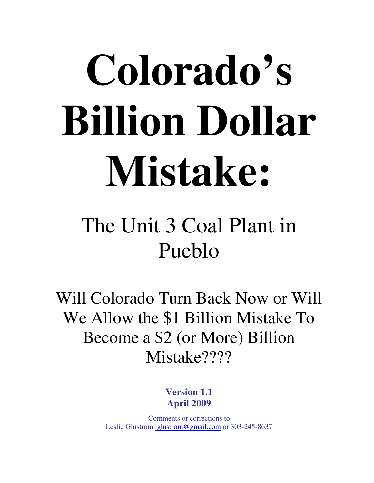# **Colorado's Billion Dollar Mistake:**

## The Unit 3 Coal Plant in Pueblo

Will Colorado Turn Back Now or Will We Allow the \$1 Billion Mistake To Become a \$2 (or More) Billion Mistake????

> **Version 1.1 April 2009**

Comments or corrections to Leslie Glustrom lglustrom@gmail.com or 303-245-8637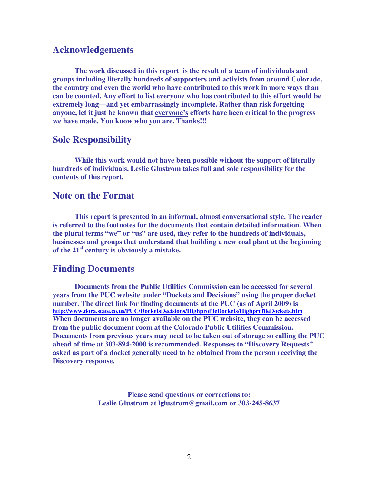#### **Acknowledgements**

 **The work discussed in this report is the result of a team of individuals and groups including literally hundreds of supporters and activists from around Colorado, the country and even the world who have contributed to this work in more ways than can be counted. Any effort to list everyone who has contributed to this effort would be extremely long—and yet embarrassingly incomplete. Rather than risk forgetting anyone, let it just be known that everyone's efforts have been critical to the progress we have made. You know who you are. Thanks!!!** 

#### **Sole Responsibility**

 **While this work would not have been possible without the support of literally hundreds of individuals, Leslie Glustrom takes full and sole responsibility for the contents of this report.** 

#### **Note on the Format**

 **This report is presented in an informal, almost conversational style. The reader is referred to the footnotes for the documents that contain detailed information. When the plural terms "we" or "us" are used, they refer to the hundreds of individuals, businesses and groups that understand that building a new coal plant at the beginning of the 21st century is obviously a mistake.** 

#### **Finding Documents**

 **Documents from the Public Utilities Commission can be accessed for several years from the PUC website under "Dockets and Decisions" using the proper docket number. The direct link for finding documents at the PUC (as of April 2009) is http://www.dora.state.co.us/PUC/DocketsDecisions/HighprofileDockets/HighprofileDockets.htm When documents are no longer available on the PUC website, they can be accessed from the public document room at the Colorado Public Utilities Commission. Documents from previous years may need to be taken out of storage so calling the PUC ahead of time at 303-894-2000 is recommended. Responses to "Discovery Requests" asked as part of a docket generally need to be obtained from the person receiving the Discovery response.** 

> **Please send questions or corrections to: Leslie Glustrom at lglustrom@gmail.com or 303-245-8637**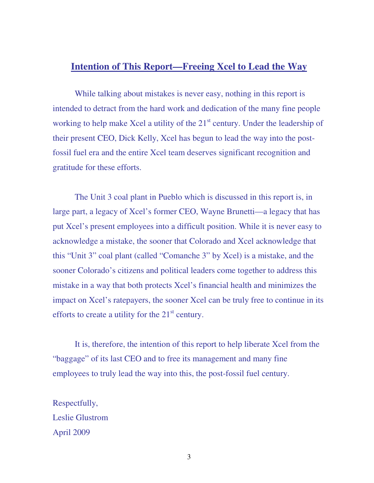#### **Intention of This Report—Freeing Xcel to Lead the Way**

While talking about mistakes is never easy, nothing in this report is intended to detract from the hard work and dedication of the many fine people working to help make Xcel a utility of the  $21<sup>st</sup>$  century. Under the leadership of their present CEO, Dick Kelly, Xcel has begun to lead the way into the postfossil fuel era and the entire Xcel team deserves significant recognition and gratitude for these efforts.

 The Unit 3 coal plant in Pueblo which is discussed in this report is, in large part, a legacy of Xcel's former CEO, Wayne Brunetti—a legacy that has put Xcel's present employees into a difficult position. While it is never easy to acknowledge a mistake, the sooner that Colorado and Xcel acknowledge that this "Unit 3" coal plant (called "Comanche 3" by Xcel) is a mistake, and the sooner Colorado's citizens and political leaders come together to address this mistake in a way that both protects Xcel's financial health and minimizes the impact on Xcel's ratepayers, the sooner Xcel can be truly free to continue in its efforts to create a utility for the  $21<sup>st</sup>$  century.

 It is, therefore, the intention of this report to help liberate Xcel from the "baggage" of its last CEO and to free its management and many fine employees to truly lead the way into this, the post-fossil fuel century.

Respectfully, Leslie Glustrom April 2009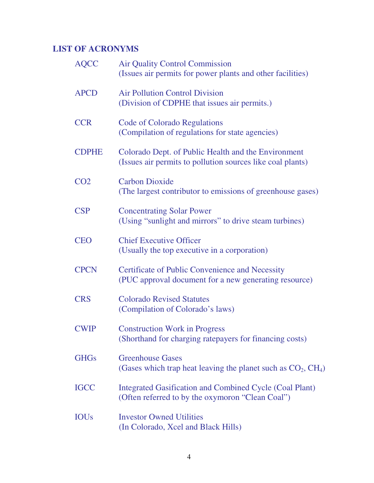#### **LIST OF ACRONYMS**

| <b>AQCC</b>     | <b>Air Quality Control Commission</b><br>(Issues air permits for power plants and other facilities)               |
|-----------------|-------------------------------------------------------------------------------------------------------------------|
| <b>APCD</b>     | <b>Air Pollution Control Division</b><br>(Division of CDPHE that issues air permits.)                             |
| <b>CCR</b>      | <b>Code of Colorado Regulations</b><br>(Compilation of regulations for state agencies)                            |
| <b>CDPHE</b>    | Colorado Dept. of Public Health and the Environment<br>(Issues air permits to pollution sources like coal plants) |
| CO <sub>2</sub> | <b>Carbon Dioxide</b><br>(The largest contributor to emissions of greenhouse gases)                               |
| <b>CSP</b>      | <b>Concentrating Solar Power</b><br>(Using "sunlight and mirrors" to drive steam turbines)                        |
| <b>CEO</b>      | <b>Chief Executive Officer</b><br>(Usually the top executive in a corporation)                                    |
| <b>CPCN</b>     | <b>Certificate of Public Convenience and Necessity</b><br>(PUC approval document for a new generating resource)   |
| <b>CRS</b>      | <b>Colorado Revised Statutes</b><br>(Compilation of Colorado's laws)                                              |
| <b>CWIP</b>     | <b>Construction Work in Progress</b><br>(Shorthand for charging ratepayers for financing costs)                   |
| <b>GHGs</b>     | <b>Greenhouse Gases</b><br>(Gases which trap heat leaving the planet such as $CO_2$ , $CH_4$ )                    |
| <b>IGCC</b>     | Integrated Gasification and Combined Cycle (Coal Plant)<br>(Often referred to by the oxymoron "Clean Coal")       |
| <b>IOUs</b>     | <b>Investor Owned Utilities</b><br>(In Colorado, Xcel and Black Hills)                                            |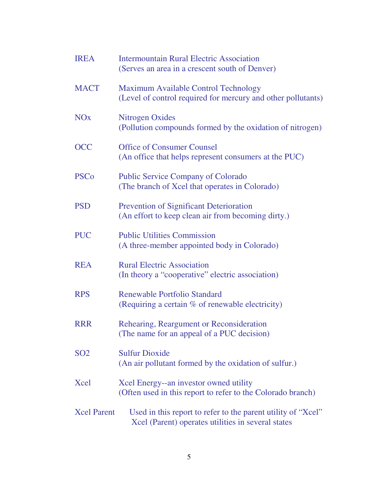| <b>IREA</b>           | <b>Intermountain Rural Electric Association</b><br>(Serves an area in a crescent south of Denver)                  |
|-----------------------|--------------------------------------------------------------------------------------------------------------------|
| <b>MACT</b>           | <b>Maximum Available Control Technology</b><br>(Level of control required for mercury and other pollutants)        |
| <b>NO<sub>x</sub></b> | <b>Nitrogen Oxides</b><br>(Pollution compounds formed by the oxidation of nitrogen)                                |
| <b>OCC</b>            | <b>Office of Consumer Counsel</b><br>(An office that helps represent consumers at the PUC)                         |
| <b>PSCo</b>           | <b>Public Service Company of Colorado</b><br>(The branch of Xcel that operates in Colorado)                        |
| <b>PSD</b>            | <b>Prevention of Significant Deterioration</b><br>(An effort to keep clean air from becoming dirty.)               |
| <b>PUC</b>            | <b>Public Utilities Commission</b><br>(A three-member appointed body in Colorado)                                  |
| <b>REA</b>            | <b>Rural Electric Association</b><br>(In theory a "cooperative" electric association)                              |
| <b>RPS</b>            | <b>Renewable Portfolio Standard</b><br>(Requiring a certain % of renewable electricity)                            |
| <b>RRR</b>            | Rehearing, Reargument or Reconsideration<br>(The name for an appeal of a PUC decision)                             |
| SO <sub>2</sub>       | <b>Sulfur Dioxide</b><br>(An air pollutant formed by the oxidation of sulfur.)                                     |
| Xcel                  | Xcel Energy--an investor owned utility<br>(Often used in this report to refer to the Colorado branch)              |
| <b>Xcel Parent</b>    | Used in this report to refer to the parent utility of "Xcel"<br>Xcel (Parent) operates utilities in several states |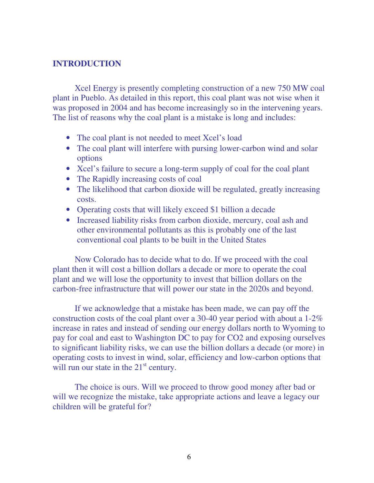#### **INTRODUCTION**

 Xcel Energy is presently completing construction of a new 750 MW coal plant in Pueblo. As detailed in this report, this coal plant was not wise when it was proposed in 2004 and has become increasingly so in the intervening years. The list of reasons why the coal plant is a mistake is long and includes:

- The coal plant is not needed to meet Xcel's load
- The coal plant will interfere with pursing lower-carbon wind and solar options
- Xcel's failure to secure a long-term supply of coal for the coal plant
- The Rapidly increasing costs of coal
- The likelihood that carbon dioxide will be regulated, greatly increasing costs.
- Operating costs that will likely exceed \$1 billion a decade
- Increased liability risks from carbon dioxide, mercury, coal ash and other environmental pollutants as this is probably one of the last conventional coal plants to be built in the United States

 Now Colorado has to decide what to do. If we proceed with the coal plant then it will cost a billion dollars a decade or more to operate the coal plant and we will lose the opportunity to invest that billion dollars on the carbon-free infrastructure that will power our state in the 2020s and beyond.

 If we acknowledge that a mistake has been made, we can pay off the construction costs of the coal plant over a 30-40 year period with about a 1-2% increase in rates and instead of sending our energy dollars north to Wyoming to pay for coal and east to Washington DC to pay for CO2 and exposing ourselves to significant liability risks, we can use the billion dollars a decade (or more) in operating costs to invest in wind, solar, efficiency and low-carbon options that will run our state in the  $21<sup>st</sup>$  century.

 The choice is ours. Will we proceed to throw good money after bad or will we recognize the mistake, take appropriate actions and leave a legacy our children will be grateful for?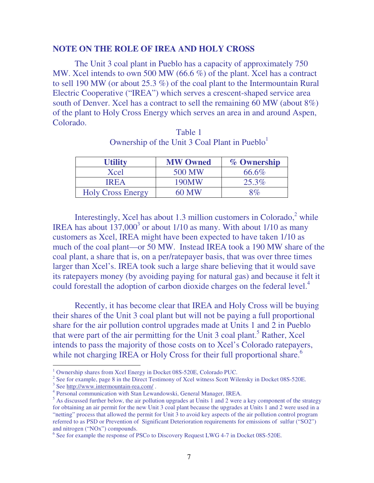#### **NOTE ON THE ROLE OF IREA AND HOLY CROSS**

The Unit 3 coal plant in Pueblo has a capacity of approximately 750 MW. Xcel intends to own 500 MW (66.6 %) of the plant. Xcel has a contract to sell 190 MW (or about 25.3 %) of the coal plant to the Intermountain Rural Electric Cooperative ("IREA") which serves a crescent-shaped service area south of Denver. Xcel has a contract to sell the remaining 60 MW (about 8%) of the plant to Holy Cross Energy which serves an area in and around Aspen, Colorado.

| <b>Utility</b>           | <b>MW Owned</b> | % Ownership |  |  |
|--------------------------|-----------------|-------------|--|--|
| Xcel                     | 500 MW          | 66.6%       |  |  |
| <b>IREA</b>              | 190MW           | 25.3%       |  |  |
| <b>Holy Cross Energy</b> | 60 MW           | 8%          |  |  |

Table 1 Ownership of the Unit 3 Coal Plant in Pueblo $<sup>1</sup>$ </sup>

Interestingly, Xcel has about 1.3 million customers in Colorado, $2$  while IREA has about  $137,000^3$  or about  $1/10$  as many. With about  $1/10$  as many customers as Xcel, IREA might have been expected to have taken 1/10 as much of the coal plant—or 50 MW. Instead IREA took a 190 MW share of the coal plant, a share that is, on a per/ratepayer basis, that was over three times larger than Xcel's. IREA took such a large share believing that it would save its ratepayers money (by avoiding paying for natural gas) and because it felt it could forestall the adoption of carbon dioxide charges on the federal level.<sup>4</sup>

 Recently, it has become clear that IREA and Holy Cross will be buying their shares of the Unit 3 coal plant but will not be paying a full proportional share for the air pollution control upgrades made at Units 1 and 2 in Pueblo that were part of the air permitting for the Unit 3 coal plant.<sup>5</sup> Rather, Xcel intends to pass the majority of those costs on to Xcel's Colorado ratepayers, while not charging IREA or Holy Cross for their full proportional share.<sup>6</sup>

<sup>1</sup> Ownership shares from Xcel Energy in Docket 08S-520E, Colorado PUC.

<sup>&</sup>lt;sup>2</sup> See for example, page 8 in the Direct Testimony of Xcel witness Scott Wilensky in Docket 08S-520E.

<sup>&</sup>lt;sup>3</sup> See http://www.intermountain-rea.com/.

<sup>4</sup> Personal communication with Stan Lewandowski, General Manager, IREA.

 $<sup>5</sup>$  As discussed further below, the air pollution upgrades at Units 1 and 2 were a key component of the strategy</sup> for obtaining an air permit for the new Unit 3 coal plant because the upgrades at Units 1 and 2 were used in a "netting" process that allowed the permit for Unit 3 to avoid key aspects of the air pollution control program referred to as PSD or Prevention of Significant Deterioration requirements for emissions of sulfur ("SO2") and nitrogen ("NOx") compounds.

<sup>&</sup>lt;sup>6</sup> See for example the response of PSCo to Discovery Request LWG 4-7 in Docket 08S-520E.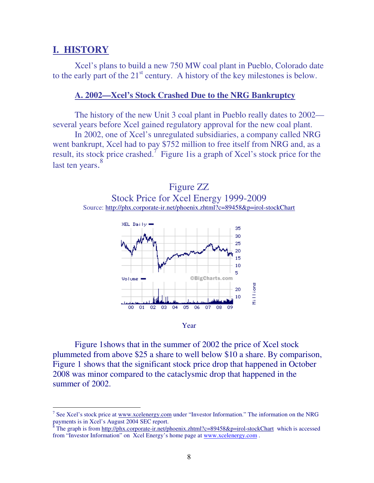#### **I. HISTORY**

 $\overline{a}$ 

Xcel's plans to build a new 750 MW coal plant in Pueblo, Colorado date to the early part of the  $21<sup>st</sup>$  century. A history of the key milestones is below.

#### **A. 2002—Xcel's Stock Crashed Due to the NRG Bankruptcy**

 The history of the new Unit 3 coal plant in Pueblo really dates to 2002 several years before Xcel gained regulatory approval for the new coal plant.

 In 2002, one of Xcel's unregulated subsidiaries, a company called NRG went bankrupt, Xcel had to pay \$752 million to free itself from NRG and, as a result, its stock price crashed.<sup>7</sup> Figure 1 is a graph of Xcel's stock price for the last ten years. 8







 Figure 1shows that in the summer of 2002 the price of Xcel stock plummeted from above \$25 a share to well below \$10 a share. By comparison, Figure 1 shows that the significant stock price drop that happened in October 2008 was minor compared to the cataclysmic drop that happened in the summer of 2002.

<sup>&</sup>lt;sup>7</sup> See Xcel's stock price at www.xcelenergy.com under "Investor Information." The information on the NRG payments is in Xcel's August 2004 SEC report.<br><sup>8</sup> The graph is from http://phy.corporate.in.pat/pl

The graph is from http://phx.corporate-ir.net/phoenix.zhtml?c=89458&p=irol-stockChart which is accessed from "Investor Information" on Xcel Energy's home page at www.xcelenergy.com .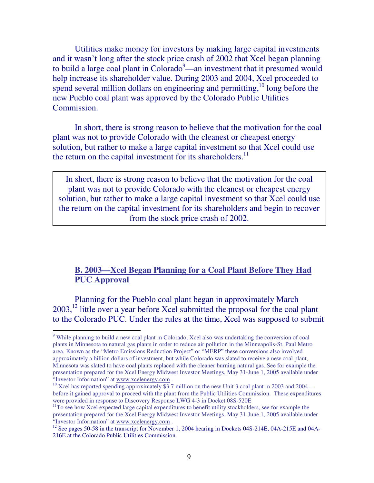Utilities make money for investors by making large capital investments and it wasn't long after the stock price crash of 2002 that Xcel began planning to build a large coal plant in Colorado<sup>9</sup>—an investment that it presumed would help increase its shareholder value. During 2003 and 2004, Xcel proceeded to spend several million dollars on engineering and permitting, $10 \text{ long}$  before the new Pueblo coal plant was approved by the Colorado Public Utilities Commission.

 In short, there is strong reason to believe that the motivation for the coal plant was not to provide Colorado with the cleanest or cheapest energy solution, but rather to make a large capital investment so that Xcel could use the return on the capital investment for its shareholders. $^{11}$ 

In short, there is strong reason to believe that the motivation for the coal plant was not to provide Colorado with the cleanest or cheapest energy solution, but rather to make a large capital investment so that Xcel could use the return on the capital investment for its shareholders and begin to recover from the stock price crash of 2002.

#### **B. 2003—Xcel Began Planning for a Coal Plant Before They Had PUC Approval**

 Planning for the Pueblo coal plant began in approximately March  $2003$ ,<sup>12</sup> little over a year before Xcel submitted the proposal for the coal plant to the Colorado PUC. Under the rules at the time, Xcel was supposed to submit

<sup>&</sup>lt;sup>9</sup> While planning to build a new coal plant in Colorado, Xcel also was undertaking the conversion of coal plants in Minnesota to natural gas plants in order to reduce air pollution in the Minneapolis-St. Paul Metro area. Known as the "Metro Emissions Reduction Project" or "MERP" these conversions also involved approximately a billion dollars of investment, but while Colorado was slated to receive a new coal plant, Minnesota was slated to have coal plants replaced with the cleaner burning natural gas. See for example the presentation prepared for the Xcel Energy Midwest Investor Meetings, May 31-June 1, 2005 available under "Investor Information" at www.xcelenergy.com .

<sup>&</sup>lt;sup>10</sup> Xcel has reported spending approximately \$3.7 million on the new Unit 3 coal plant in 2003 and 2004 before it gained approval to proceed with the plant from the Public Utilities Commission. These expenditures were provided in response to Discovery Response LWG 4-3 in Docket 08S-520E

<sup>&</sup>lt;sup>11</sup>To see how Xcel expected large capital expenditures to benefit utility stockholders, see for example the presentation prepared for the Xcel Energy Midwest Investor Meetings, May 31-June 1, 2005 available under "Investor Information" at www.xcelenergy.com .

<sup>&</sup>lt;sup>12</sup> See pages 50-58 in the transcript for November 1, 2004 hearing in Dockets 04S-214E, 04A-215E and 04A-216E at the Colorado Public Utilities Commission.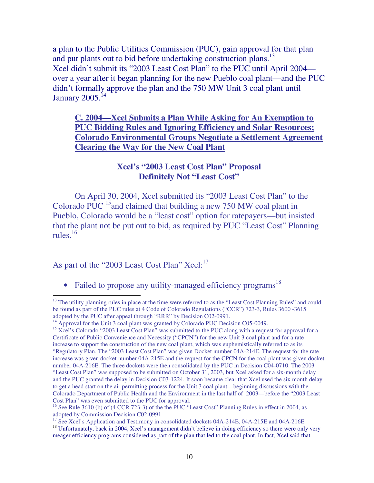a plan to the Public Utilities Commission (PUC), gain approval for that plan and put plants out to bid before undertaking construction plans.<sup>13</sup> Xcel didn't submit its "2003 Least Cost Plan" to the PUC until April 2004 over a year after it began planning for the new Pueblo coal plant—and the PUC didn't formally approve the plan and the 750 MW Unit 3 coal plant until January  $2005$ .<sup>14</sup>

**C. 2004—Xcel Submits a Plan While Asking for An Exemption to PUC Bidding Rules and Ignoring Efficiency and Solar Resources; Colorado Environmental Groups Negotiate a Settlement Agreement Clearing the Way for the New Coal Plant**

#### **Xcel's "2003 Least Cost Plan" Proposal Definitely Not "Least Cost"**

 On April 30, 2004, Xcel submitted its "2003 Least Cost Plan" to the Colorado PUC<sup>15</sup>and claimed that building a new 750 MW coal plant in Pueblo, Colorado would be a "least cost" option for ratepayers—but insisted that the plant not be put out to bid, as required by PUC "Least Cost" Planning rules $^{16}$ 

As part of the "2003 Least Cost Plan" Xcel:<sup>17</sup>

• Failed to propose any utility-managed efficiency programs<sup>18</sup>

 $\overline{a}$  $13$  The utility planning rules in place at the time were referred to as the "Least Cost Planning Rules" and could be found as part of the PUC rules at 4 Code of Colorado Regulations ("CCR") 723-3, Rules 3600 -3615 adopted by the PUC after appeal through "RRR" by Decision C02-0991.

<sup>&</sup>lt;sup>14</sup> Approval for the Unit 3 coal plant was granted by Colorado PUC Decision C05-0049.

<sup>&</sup>lt;sup>15</sup> Xcel's Colorado "2003 Least Cost Plan" was submitted to the PUC along with a request for approval for a Certificate of Public Convenience and Necessity ("CPCN") for the new Unit 3 coal plant and for a rate increase to support the construction of the new coal plant, which was euphemistically referred to as its "Regulatory Plan. The "2003 Least Cost Plan" was given Docket number 04A-214E. The request for the rate increase was given docket number 04A-215E and the request for the CPCN for the coal plant was given docket number 04A-216E. The three dockets were then consolidated by the PUC in Decision C04-0710. The 2003 "Least Cost Plan" was supposed to be submitted on October 31, 2003, but Xcel asked for a six-month delay and the PUC granted the delay in Decision C03-1224. It soon became clear that Xcel used the six month delay to get a head start on the air permitting process for the Unit 3 coal plant—beginning discussions with the Colorado Department of Public Health and the Environment in the last half of 2003—before the "2003 Least Cost Plan" was even submitted to the PUC for approval.

<sup>&</sup>lt;sup>16</sup> See Rule 3610 (b) of (4 CCR 723-3) of the the PUC "Least Cost" Planning Rules in effect in 2004, as adopted by Commission Decision C02-0991.

<sup>&</sup>lt;sup>17</sup> See Xcel's Application and Testimony in consolidated dockets 04A-214E, 04A-215E and 04A-216E

<sup>&</sup>lt;sup>18</sup> Unfortunately, back in 2004, Xcel's management didn't believe in doing efficiency so there were only very meager efficiency programs considered as part of the plan that led to the coal plant. In fact, Xcel said that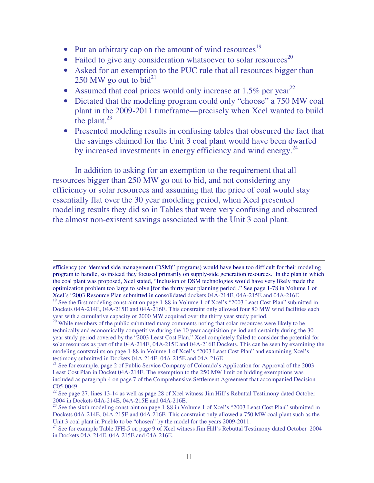- Put an arbitrary cap on the amount of wind resources<sup>19</sup>
- Failed to give any consideration whatsoever to solar resources<sup>20</sup>
- Asked for an exemption to the PUC rule that all resources bigger than 250 MW go out to bid $^{21}$
- Assumed that coal prices would only increase at  $1.5\%$  per year<sup>22</sup>
- Dictated that the modeling program could only "choose" a 750 MW coal plant in the 2009-2011 timeframe—precisely when Xcel wanted to build the plant. $^{23}$
- Presented modeling results in confusing tables that obscured the fact that the savings claimed for the Unit 3 coal plant would have been dwarfed by increased investments in energy efficiency and wind energy.<sup>24</sup>

 In addition to asking for an exemption to the requirement that all resources bigger than 250 MW go out to bid, and not considering any efficiency or solar resources and assuming that the price of coal would stay essentially flat over the 30 year modeling period, when Xcel presented modeling results they did so in Tables that were very confusing and obscured the almost non-existent savings associated with the Unit 3 coal plant.

efficiency (or "demand side management (DSM)" programs) would have been too difficult for their modeling program to handle, so instead they focused primarily on supply-side generation resources. In the plan in which the coal plant was proposed, Xcel stated, "Inclusion of DSM technologies would have very likely made the optimization problem too large to solve [for the thirty year planning period]." See page 1-78 in Volume 1 of Xcel's "2003 Resource Plan submitted in consolidated dockets 04A-214E, 04A-215E and 04A-216E

<sup>&</sup>lt;sup>19</sup> See the first modeling constraint on page 1-88 in Volume 1 of Xcel's "2003 Least Cost Plan" submitted in Dockets 04A-214E, 04A-215E and 04A-216E. This constraint only allowed four 80 MW wind facilities each year with a cumulative capacity of 2000 MW acquired over the thirty year study period.

 $20$  While members of the public submitted many comments noting that solar resources were likely to be technically and economically competitive during the 10 year acquisition period and certainly during the 30 year study period covered by the "2003 Least Cost Plan," Xcel completely failed to consider the potential for solar resources as part of the 04A-214E, 04A-215E and 04A-216E Dockets. This can be seen by examining the modeling contstraints on page 1-88 in Volume 1 of Xcel's "2003 Least Cost Plan" and examining Xcel's testimony submitted in Dockets 04A-214E, 04A-215E and 04A-216E.

<sup>&</sup>lt;sup>21</sup> See for example, page 2 of Public Service Company of Colorado's Application for Approval of the 2003 Least Cost Plan in Docket 04A-214E. The exemption to the 250 MW limit on bidding exemptions was included as paragraph 4 on page 7 of the Comprehensive Settlement Agreement that accompanied Decision C05-0049.

 $22$  See page 27, lines 13-14 as well as page 28 of Xcel witness Jim Hill's Rebuttal Testimony dated October 2004 in Dockets 04A-214E, 04A-215E and 04A-216E.

<sup>&</sup>lt;sup>23</sup> See the sixth modeling constraint on page 1-88 in Volume 1 of Xcel's "2003 Least Cost Plan" submitted in Dockets 04A-214E, 04A-215E and 04A-216E. This constraint only allowed a 750 MW coal plant such as the Unit 3 coal plant in Pueblo to be "chosen" by the model for the years 2009-2011.

<sup>&</sup>lt;sup>24</sup> See for example Table JFH-5 on page 9 of Xcel witness Jim Hill's Rebuttal Testimony dated October 2004 in Dockets 04A-214E, 04A-215E and 04A-216E.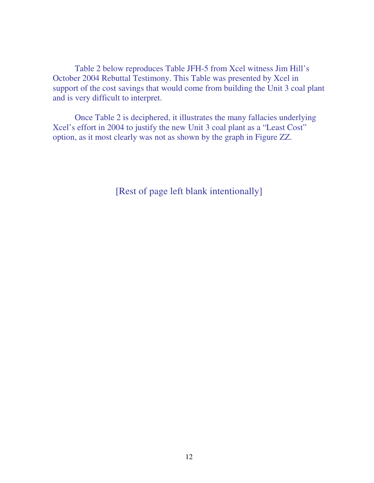Table 2 below reproduces Table JFH-5 from Xcel witness Jim Hill's October 2004 Rebuttal Testimony. This Table was presented by Xcel in support of the cost savings that would come from building the Unit 3 coal plant and is very difficult to interpret.

 Once Table 2 is deciphered, it illustrates the many fallacies underlying Xcel's effort in 2004 to justify the new Unit 3 coal plant as a "Least Cost" option, as it most clearly was not as shown by the graph in Figure ZZ.

[Rest of page left blank intentionally]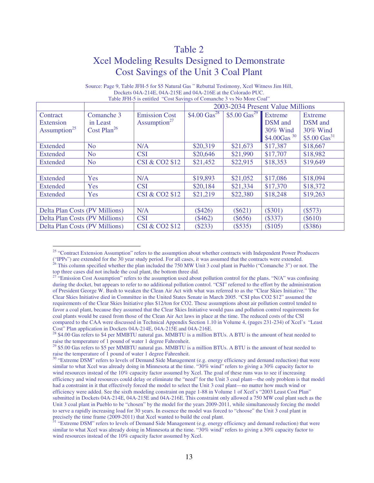#### Table 2

#### Xcel Modeling Results Designed to Demonstrate Cost Savings of the Unit 3 Coal Plant

|                                                   |                                                   |                                                  | Table 31 II-3 is chunca Cost Savings of Comancile 3 vs Two More Coal<br>2003-2034 Present Value Millions |                          |                                                             |                                                            |
|---------------------------------------------------|---------------------------------------------------|--------------------------------------------------|----------------------------------------------------------------------------------------------------------|--------------------------|-------------------------------------------------------------|------------------------------------------------------------|
| Contract<br>Extension<br>Assumption <sup>25</sup> | Comanche 3<br>in Least<br>Cost Plan <sup>26</sup> | <b>Emission Cost</b><br>Assumption <sup>27</sup> | \$4.00 $\text{Gas}^{28}$                                                                                 | \$5.00 $\text{Gas}^{29}$ | Extreme<br>DSM and<br>30% Wind<br>$$4.00$ Gas <sup>30</sup> | Extreme<br>DSM and<br>30% Wind<br>\$5.00 $\text{Gas}^{31}$ |
| <b>Extended</b>                                   | No.                                               | N/A                                              | \$20,319                                                                                                 | \$21,673                 | \$17,387                                                    | \$18,667                                                   |
| Extended                                          | No.                                               | <b>CSI</b>                                       | \$20,646                                                                                                 | \$21,990                 | \$17,707                                                    | \$18,982                                                   |
| Extended                                          | N <sub>o</sub>                                    | <b>CSI &amp; CO2 \$12</b>                        | \$21,452                                                                                                 | \$22,915                 | \$18,353                                                    | \$19,649                                                   |
|                                                   |                                                   |                                                  |                                                                                                          |                          |                                                             |                                                            |
| <b>Extended</b>                                   | Yes                                               | N/A                                              | \$19,893                                                                                                 | \$21,052                 | \$17,086                                                    | \$18,094                                                   |
| Extended                                          | Yes                                               | <b>CSI</b>                                       | \$20,184                                                                                                 | \$21,334                 | \$17,370                                                    | \$18,372                                                   |
| Extended                                          | Yes                                               | <b>CSI &amp; CO2 \$12</b>                        | \$21,219                                                                                                 | \$22,380                 | \$18,248                                                    | \$19,263                                                   |
|                                                   |                                                   |                                                  |                                                                                                          |                          |                                                             |                                                            |
| Delta Plan Costs (PV Millions)                    |                                                   | N/A                                              | $(\$426)$                                                                                                | $(\$621)$                | $(\$301)$                                                   | (\$573)                                                    |
| Delta Plan Costs (PV Millions)                    |                                                   | <b>CSI</b>                                       | $(\$462)$                                                                                                | $(\$656)$                | (\$337)                                                     | $(\$610)$                                                  |
| Delta Plan Costs (PV Millions)                    |                                                   | CSI & CO2 \$12                                   | (\$233)                                                                                                  | $($ \$535)               | (\$105)                                                     | (\$386)                                                    |

#### Source: Page 9, Table JFH-5 for \$5 Natural Gas " Rebuttal Testimony, Xcel Witness Jim Hill, Dockets 04A-214E, 04A-215E and 04A-216E at the Colorado PUC. Table JFH-5 is entitled "Cost Savings of Comanche 3 vs No More Coal"

 $\overline{a}$ <sup>25</sup> "Contract Extension Assumption" refers to the assumption about whether contracts with Independent Power Producers ("IPPs") are extended for the 30 year study period. For all cases, it was assumed that the contracts were extended.

 $^{26}$  This column specified whether the plan included the 750 MW Unit 3 coal plant in Pueblo ("Comanche 3") or not. The top three cases did not include the coal plant, the bottom three did.

<sup>&</sup>lt;sup>27</sup> "Emission Cost Assumption" refers to the assumption used about pollution control for the plans. "N/A" was confusing during the docket, but appears to refer to no additional pollution control. "CSI" referred to the effort by the administration of President George W. Bush to weaken the Clean Air Act with what was referred to as the "Clear Skies Initiative." The Clear Skies Initiative died in Committee in the United States Senate in March 2005. "CSI plus CO2 \$12" assumed the requirements of the Clear Skies Initiative plus \$12/ton for CO2. These assumptions about air pollution control tended to favor a coal plant, because they assumed that the Clear Skies Initiative would pass and pollution control requirements for coal plants would be eased from those of the Clean Air Act laws in place at the time. The reduced costs of the CSI compared to the CAA were discussed in Technical Appendix Section 1.10 in Volume 4, (pages 231-234) of Xcel's "Least Cost" Plan application in Dockets 04A-214E, 04A-215E and 04A-216E.

<sup>&</sup>lt;sup>28</sup> \$4.00 Gas refers to \$4 per MMBTU natural gas. MMBTU is a million BTUs. A BTU is the amount of heat needed to raise the temperature of 1 pound of water 1 degree Fahrenheit.

<sup>&</sup>lt;sup>29</sup> \$5.00 Gas refers to \$5 per MMBTU natural gas. MMBTU is a million BTUs. A BTU is the amount of heat needed to raise the temperature of 1 pound of water 1 degree Fahrenheit.

<sup>&</sup>lt;sup>30</sup> "Extreme DSM" refers to levels of Demand Side Management (e.g. energy efficiency and demand reduction) that were similar to what Xcel was already doing in Minnesota at the time. "30% wind" refers to giving a 30% capacity factor to wind resources instead of the 10% capacity factor assumed by Xcel. The goal of these runs was to see if increasing efficiency and wind resources could delay or eliminate the "need" for the Unit 3 coal plant—the only problem is that model had a constraint in it that effectively forced the model to select the Unit 3 coal plant—no matter how much wind or efficiency were added. See the sixth modeling constraint on page 1-88 in Volume 1 of Xcel's "2003 Least Cost Plan" submitted in Dockets 04A-214E, 04A-215E and 04A-216E. This constraint only allowed a 750 MW coal plant such as the Unit 3 coal plant in Pueblo to be "chosen" by the model for the years 2009-2011, while simultaneously forcing the model to serve a rapidly increasing load for 30 years. In essence the model was forced to "choose" the Unit 3 coal plant in precisely the time frame (2009-2011) that Xcel wanted to build the coal plant.

<sup>&</sup>lt;sup>31</sup> "Extreme DSM" refers to levels of Demand Side Management (e.g. energy efficiency and demand reduction) that were similar to what Xcel was already doing in Minnesota at the time. "30% wind" refers to giving a 30% capacity factor to wind resources instead of the 10% capacity factor assumed by Xcel.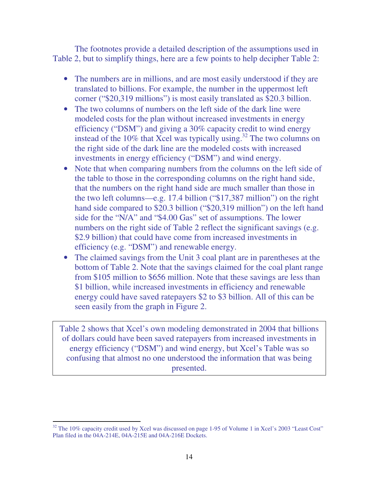The footnotes provide a detailed description of the assumptions used in Table 2, but to simplify things, here are a few points to help decipher Table 2:

- The numbers are in millions, and are most easily understood if they are translated to billions. For example, the number in the uppermost left corner ("\$20,319 millions") is most easily translated as \$20.3 billion.
- The two columns of numbers on the left side of the dark line were modeled costs for the plan without increased investments in energy efficiency ("DSM") and giving a 30% capacity credit to wind energy instead of the  $10\%$  that Xcel was typically using.<sup>32</sup> The two columns on the right side of the dark line are the modeled costs with increased investments in energy efficiency ("DSM") and wind energy.
- Note that when comparing numbers from the columns on the left side of the table to those in the corresponding columns on the right hand side, that the numbers on the right hand side are much smaller than those in the two left columns—e.g. 17.4 billion ("\$17,387 million") on the right hand side compared to \$20.3 billion ("\$20,319 million") on the left hand side for the "N/A" and "\$4.00 Gas" set of assumptions. The lower numbers on the right side of Table 2 reflect the significant savings (e.g. \$2.9 billion) that could have come from increased investments in efficiency (e.g. "DSM") and renewable energy.
- The claimed savings from the Unit 3 coal plant are in parentheses at the bottom of Table 2. Note that the savings claimed for the coal plant range from \$105 million to \$656 million. Note that these savings are less than \$1 billion, while increased investments in efficiency and renewable energy could have saved ratepayers \$2 to \$3 billion. All of this can be seen easily from the graph in Figure 2.

Table 2 shows that Xcel's own modeling demonstrated in 2004 that billions of dollars could have been saved ratepayers from increased investments in energy efficiency ("DSM") and wind energy, but Xcel's Table was so confusing that almost no one understood the information that was being presented.

 $32$  The 10% capacity credit used by Xcel was discussed on page 1-95 of Volume 1 in Xcel's 2003 "Least Cost" Plan filed in the 04A-214E, 04A-215E and 04A-216E Dockets.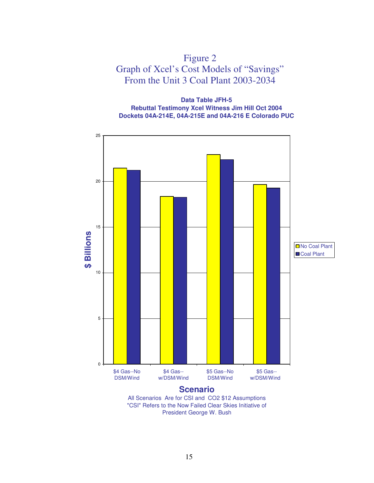

**Data Table JFH-5 Rebuttal Testimony Xcel Witness Jim Hill Oct 2004 Dockets 04A-214E, 04A-215E and 04A-216 E Colorado PUC**



"CSI" Refers to the Now Failed Clear Skies Initiative of President George W. Bush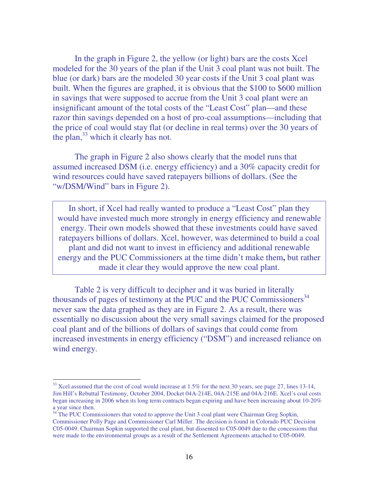In the graph in Figure 2, the yellow (or light) bars are the costs Xcel modeled for the 30 years of the plan if the Unit 3 coal plant was not built. The blue (or dark) bars are the modeled 30 year costs if the Unit 3 coal plant was built. When the figures are graphed, it is obvious that the \$100 to \$600 million in savings that were supposed to accrue from the Unit 3 coal plant were an insignificant amount of the total costs of the "Least Cost" plan—and these razor thin savings depended on a host of pro-coal assumptions—including that the price of coal would stay flat (or decline in real terms) over the 30 years of the plan, $33$  which it clearly has not.

 The graph in Figure 2 also shows clearly that the model runs that assumed increased DSM (i.e. energy efficiency) and a 30% capacity credit for wind resources could have saved ratepayers billions of dollars. (See the "w/DSM/Wind" bars in Figure 2).

In short, if Xcel had really wanted to produce a "Least Cost" plan they would have invested much more strongly in energy efficiency and renewable energy. Their own models showed that these investments could have saved ratepayers billions of dollars. Xcel, however, was determined to build a coal plant and did not want to invest in efficiency and additional renewable energy and the PUC Commissioners at the time didn't make them**,** but rather made it clear they would approve the new coal plant.

Table 2 is very difficult to decipher and it was buried in literally thousands of pages of testimony at the PUC and the PUC Commissioners<sup>34</sup> never saw the data graphed as they are in Figure 2. As a result, there was essentially no discussion about the very small savings claimed for the proposed coal plant and of the billions of dollars of savings that could come from increased investments in energy efficiency ("DSM") and increased reliance on wind energy.

 $33$  Xcel assumed that the cost of coal would increase at 1.5% for the next 30 years, see page 27, lines 13-14, Jim Hill's Rebuttal Testimony, October 2004, Docket 04A-214E, 04A-215E and 04A-216E. Xcel's coal costs began increasing in 2006 when its long term contracts began expiring and have been increasing about 10-20% a year since then.

<sup>&</sup>lt;sup>34</sup> The PUC Commissioners that voted to approve the Unit 3 coal plant were Chairman Greg Sopkin, Commissioner Polly Page and Commissioner Carl Miller. The decision is found in Colorado PUC Decision C05-0049. Chairman Sopkin supported the coal plant, but dissented to C05-0049 due to the concessions that were made to the environmental groups as a result of the Settlement Agreements attached to C05-0049.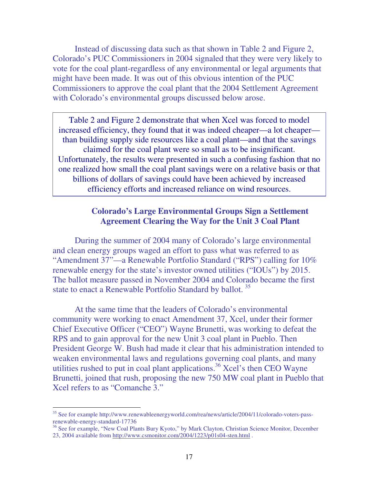Instead of discussing data such as that shown in Table 2 and Figure 2, Colorado's PUC Commissioners in 2004 signaled that they were very likely to vote for the coal plant-regardless of any environmental or legal arguments that might have been made. It was out of this obvious intention of the PUC Commissioners to approve the coal plant that the 2004 Settlement Agreement with Colorado's environmental groups discussed below arose.

Table 2 and Figure 2 demonstrate that when Xcel was forced to model increased efficiency, they found that it was indeed cheaper—a lot cheaper than building supply side resources like a coal plant—and that the savings claimed for the coal plant were so small as to be insignificant. Unfortunately, the results were presented in such a confusing fashion that no one realized how small the coal plant savings were on a relative basis or that billions of dollars of savings could have been achieved by increased efficiency efforts and increased reliance on wind resources.

#### **Colorado's Large Environmental Groups Sign a Settlement Agreement Clearing the Way for the Unit 3 Coal Plant**

 During the summer of 2004 many of Colorado's large environmental and clean energy groups waged an effort to pass what was referred to as "Amendment 37"—a Renewable Portfolio Standard ("RPS") calling for 10% renewable energy for the state's investor owned utilities ("IOUs") by 2015. The ballot measure passed in November 2004 and Colorado became the first state to enact a Renewable Portfolio Standard by ballot.<sup>35</sup>

 At the same time that the leaders of Colorado's environmental community were working to enact Amendment 37, Xcel, under their former Chief Executive Officer ("CEO") Wayne Brunetti, was working to defeat the RPS and to gain approval for the new Unit 3 coal plant in Pueblo. Then President George W. Bush had made it clear that his administration intended to weaken environmental laws and regulations governing coal plants, and many utilities rushed to put in coal plant applications.<sup>36</sup> Xcel's then CEO Wayne Brunetti, joined that rush, proposing the new 750 MW coal plant in Pueblo that Xcel refers to as "Comanche 3."

<sup>&</sup>lt;sup>35</sup> See for example http://www.renewableenergyworld.com/rea/news/article/2004/11/colorado-voters-passrenewable-energy-standard-17736

<sup>&</sup>lt;sup>36</sup> See for example, "New Coal Plants Bury Kyoto," by Mark Clayton, Christian Science Monitor, December 23, 2004 available from http://www.csmonitor.com/2004/1223/p01s04-sten.html .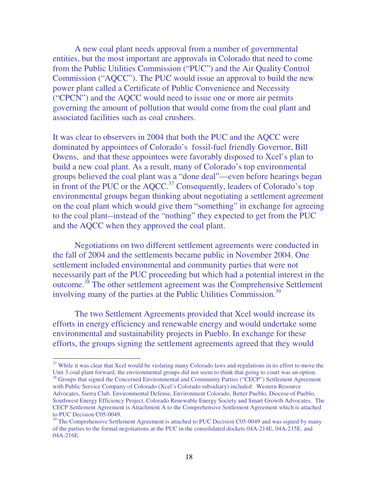A new coal plant needs approval from a number of governmental entities, but the most important are approvals in Colorado that need to come from the Public Utilities Commission ("PUC") and the Air Quality Control Commission ("AQCC"). The PUC would issue an approval to build the new power plant called a Certificate of Public Convenience and Necessity ("CPCN") and the AQCC would need to issue one or more air permits governing the amount of pollution that would come from the coal plant and associated facilities such as coal crushers.

It was clear to observers in 2004 that both the PUC and the AQCC were dominated by appointees of Colorado's fossil-fuel friendly Governor, Bill Owens, and that these appointees were favorably disposed to Xcel's plan to build a new coal plant. As a result, many of Colorado's top environmental groups believed the coal plant was a "done deal"—even before hearings began in front of the PUC or the  $AQCC$ <sup>37</sup> Consequently, leaders of Colorado's top environmental groups began thinking about negotiating a settlement agreement on the coal plant which would give them "something" in exchange for agreeing to the coal plant--instead of the "nothing" they expected to get from the PUC and the AQCC when they approved the coal plant.

Negotiations on two different settlement agreements were conducted in the fall of 2004 and the settlements became public in November 2004. One settlement included environmental and community parties that were not necessarily part of the PUC proceeding but which had a potential interest in the outcome.<sup>38</sup> The other settlement agreement was the Comprehensive Settlement involving many of the parties at the Public Utilities Commission.<sup>39</sup>

 The two Settlement Agreements provided that Xcel would increase its efforts in energy efficiency and renewable energy and would undertake some environmental and sustainability projects in Pueblo. In exchange for these efforts, the groups signing the settlement agreements agreed that they would

<sup>&</sup>lt;sup>37</sup> While it was clear that Xcel would be violating many Colorado laws and regulations in its effort to move the Unit 3 coal plant forward, the environmental groups did not seem to think that going to court was an option.

<sup>&</sup>lt;sup>38</sup> Groups that signed the Concerned Environmental and Community Parties ("CECP") Settlement Agreement with Public Service Company of Colorado (Xcel's Colorado subsidiary) included: Western Resource Advocates, Sierra Club, Environmental Defense, Environment Colorado, Better Pueblo, Diocese of Pueblo, Southwest Energy Efficiency Project, Colorado Renewable Energy Society and Smart Growth Advocates. The CECP Settlement Agreement is Attachment A to the Comprehensive Settlement Agreement which is attached to PUC Decision C05-0049.

 $39$  The Comprehensive Settlement Agreement is attached to PUC Decision C05-0049 and was signed by many of the parties to the formal negotiations at the PUC in the consolidated dockets 04A-214E, 04A-215E, and 04A-216E.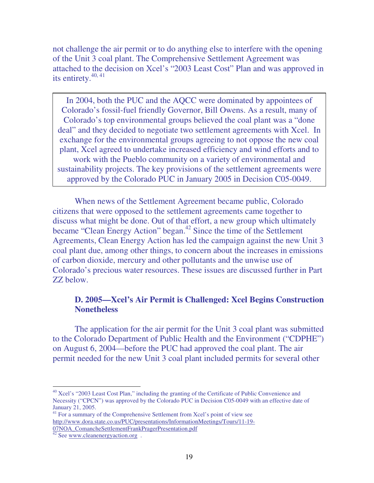not challenge the air permit or to do anything else to interfere with the opening of the Unit 3 coal plant. The Comprehensive Settlement Agreement was attached to the decision on Xcel's "2003 Least Cost" Plan and was approved in its entirety.<sup>40, 41</sup>

In 2004, both the PUC and the AQCC were dominated by appointees of Colorado's fossil-fuel friendly Governor, Bill Owens. As a result, many of Colorado's top environmental groups believed the coal plant was a "done deal" and they decided to negotiate two settlement agreements with Xcel. In exchange for the environmental groups agreeing to not oppose the new coal plant, Xcel agreed to undertake increased efficiency and wind efforts and to work with the Pueblo community on a variety of environmental and sustainability projects. The key provisions of the settlement agreements were approved by the Colorado PUC in January 2005 in Decision C05-0049.

 When news of the Settlement Agreement became public, Colorado citizens that were opposed to the settlement agreements came together to discuss what might be done. Out of that effort, a new group which ultimately became "Clean Energy Action" began.<sup>42</sup> Since the time of the Settlement Agreements, Clean Energy Action has led the campaign against the new Unit 3 coal plant due, among other things, to concern about the increases in emissions of carbon dioxide, mercury and other pollutants and the unwise use of Colorado's precious water resources. These issues are discussed further in Part ZZ below.

#### **D. 2005—Xcel's Air Permit is Challenged: Xcel Begins Construction Nonetheless**

 The application for the air permit for the Unit 3 coal plant was submitted to the Colorado Department of Public Health and the Environment ("CDPHE") on August 6, 2004—before the PUC had approved the coal plant. The air permit needed for the new Unit 3 coal plant included permits for several other

<sup>&</sup>lt;sup>40</sup> Xcel's "2003 Least Cost Plan," including the granting of the Certificate of Public Convenience and Necessity ("CPCN") was approved by the Colorado PUC in Decision C05-0049 with an effective date of January 21, 2005.

<sup>&</sup>lt;sup>41</sup> For a summary of the Comprehensive Settlement from Xcel's point of view see http://www.dora.state.co.us/PUC/presentations/InformationMeetings/Tours/11-19- 07NOA\_ComancheSettlementFrankPragerPresentation.pdf

 $42$  See www.cleanenergyaction.org.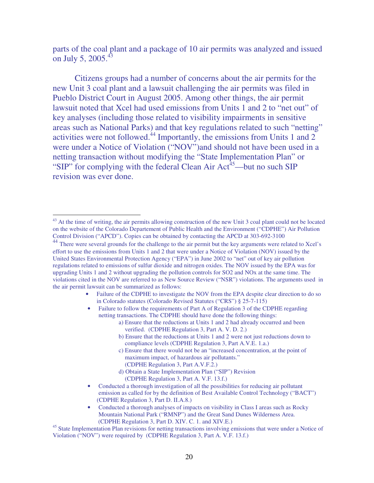parts of the coal plant and a package of 10 air permits was analyzed and issued on July 5, 2005. $^{43}$ 

 Citizens groups had a number of concerns about the air permits for the new Unit 3 coal plant and a lawsuit challenging the air permits was filed in Pueblo District Court in August 2005. Among other things, the air permit lawsuit noted that Xcel had used emissions from Units 1 and 2 to "net out" of key analyses (including those related to visibility impairments in sensitive areas such as National Parks) and that key regulations related to such "netting" activities were not followed.<sup>44</sup> Importantly, the emissions from Units 1 and 2 were under a Notice of Violation ("NOV")and should not have been used in a netting transaction without modifying the "State Implementation Plan" or "SIP" for complying with the federal Clean Air  $Act<sup>45</sup>$ —but no such SIP revision was ever done.

 $\overline{a}$ 

- d) Obtain a State Implementation Plan ("SIP") Revision (CDPHE Regulation 3, Part A. V.F. 13.f.)
- Conducted a thorough investigation of all the possibilities for reducing air pollutant emission as called for by the definition of Best Available Control Technology ("BACT") (CDPHE Regulation 3, Part D. II.A.8.)
- Conducted a thorough analyses of impacts on visibility in Class I areas such as Rocky Mountain National Park ("RMNP") and the Great Sand Dunes Wilderness Area. (CDPHE Regulation 3, Part D. XIV. C. 1. and XIV.E.)

<sup>45</sup> State Implementation Plan revisions for netting transactions involving emissions that were under a Notice of Violation ("NOV") were required by (CDPHE Regulation 3, Part A. V.F. 13.f.)

<sup>&</sup>lt;sup>43</sup> At the time of writing, the air permits allowing construction of the new Unit 3 coal plant could not be located on the website of the Colorado Departement of Public Health and the Environment ("CDPHE") Air Pollution Control Division ("APCD"). Copies can be obtained by contacting the APCD at 303-692-3100

<sup>&</sup>lt;sup>44</sup> There were several grounds for the challenge to the air permit but the key arguments were related to Xcel's effort to use the emissions from Units 1 and 2 that were under a Notice of Violation (NOV) issued by the United States Environmental Protection Agency ("EPA") in June 2002 to "net" out of key air pollution regulations related to emissions of sulfur dioxide and nitrogen oxides. The NOV issued by the EPA was for upgrading Units 1 and 2 without upgrading the pollution controls for SO2 and NOx at the same time. The violations cited in the NOV are referred to as New Source Review ("NSR") violations. The arguments used in the air permit lawsuit can be summarized as follows:

<sup>•</sup> Failure of the CDPHE to investigate the NOV from the EPA despite clear direction to do so in Colorado statutes (Colorado Revised Statutes ("CRS") § 25-7-115)

<sup>•</sup> Failure to follow the requirements of Part A of Regulation 3 of the CDPHE regarding netting transactions. The CDPHE should have done the following things:

a) Ensure that the reductions at Units 1 and 2 had already occurred and been verified. (CDPHE Regulation 3, Part A. V. D. 2.)

b) Ensure that the reductions at Units 1 and 2 were not just reductions down to compliance levels (CDPHE Regulation 3, Part A.V.E. 1.a.)

c) Ensure that there would not be an "increased concentration, at the point of maximum impact, of hazardous air pollutants." (CDPHE Regulation 3, Part A.V.F.2.)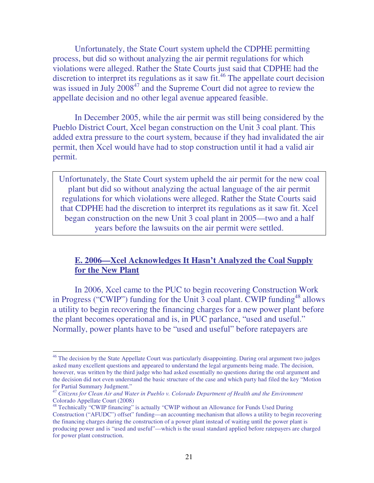Unfortunately, the State Court system upheld the CDPHE permitting process, but did so without analyzing the air permit regulations for which violations were alleged. Rather the State Courts just said that CDPHE had the discretion to interpret its regulations as it saw fit.<sup>46</sup> The appellate court decision was issued in July 2008<sup>47</sup> and the Supreme Court did not agree to review the appellate decision and no other legal avenue appeared feasible.

 In December 2005, while the air permit was still being considered by the Pueblo District Court, Xcel began construction on the Unit 3 coal plant. This added extra pressure to the court system, because if they had invalidated the air permit, then Xcel would have had to stop construction until it had a valid air permit.

Unfortunately, the State Court system upheld the air permit for the new coal plant but did so without analyzing the actual language of the air permit regulations for which violations were alleged. Rather the State Courts said that CDPHE had the discretion to interpret its regulations as it saw fit. Xcel began construction on the new Unit 3 coal plant in 2005—two and a half years before the lawsuits on the air permit were settled.

#### **E. 2006—Xcel Acknowledges It Hasn't Analyzed the Coal Supply**  for the New Plant

 In 2006, Xcel came to the PUC to begin recovering Construction Work in Progress ("CWIP") funding for the Unit 3 coal plant. CWIP funding<sup>48</sup> allows a utility to begin recovering the financing charges for a new power plant before the plant becomes operational and is, in PUC parlance, "used and useful." Normally, power plants have to be "used and useful" before ratepayers are

<sup>&</sup>lt;sup>46</sup> The decision by the State Appellate Court was particularly disappointing. During oral argument two judges asked many excellent questions and appeared to understand the legal arguments being made. The decision, however, was written by the third judge who had asked essentially no questions during the oral argument and the decision did not even understand the basic structure of the case and which party had filed the key "Motion for Partial Summary Judgment."

<sup>47</sup> *Citizens for Clean Air and Water in Pueblo v. Colorado Department of Health and the Environment* Colorado Appellate Court (2008)

<sup>&</sup>lt;sup>48</sup> Technically "CWIP financing" is actually "CWIP without an Allowance for Funds Used During Construction ("AFUDC") offset" funding—an accounting mechanism that allows a utility to begin recovering the financing charges during the construction of a power plant instead of waiting until the power plant is producing power and is "used and useful"—which is the usual standard applied before ratepayers are charged for power plant construction.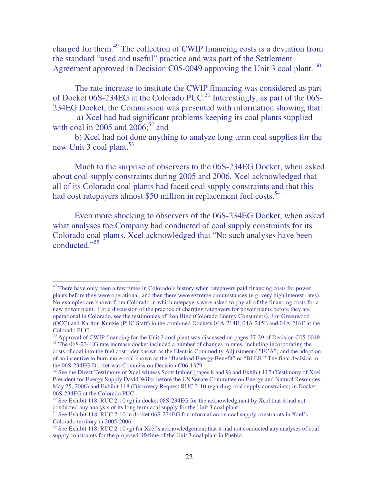charged for them.<sup>49</sup> The collection of CWIP financing costs is a deviation from the standard "used and useful" practice and was part of the Settlement Agreement approved in Decision C05-0049 approving the Unit 3 coal plant. <sup>50</sup>

 The rate increase to institute the CWIP financing was considered as part of Docket 06S-234EG at the Colorado PUC.<sup>51</sup> Interestingly, as part of the  $06$ S-234EG Docket, the Commission was presented with information showing that:

 a) Xcel had had significant problems keeping its coal plants supplied with coal in 2005 and  $2006$ ;<sup>52</sup> and

 b) Xcel had not done anything to analyze long term coal supplies for the new Unit 3 coal plant.<sup>53</sup>

 Much to the surprise of observers to the 06S-234EG Docket, when asked about coal supply constraints during 2005 and 2006, Xcel acknowledged that all of its Colorado coal plants had faced coal supply constraints and that this had cost ratepayers almost \$50 million in replacement fuel costs.<sup>54</sup>

 Even more shocking to observers of the 06S-234EG Docket, when asked what analyses the Company had conducted of coal supply constraints for its Colorado coal plants, Xcel acknowledged that "No such analyses have been conducted."<sup>55</sup>

<sup>&</sup>lt;sup>49</sup> There have only been a few times in Colorado's history when ratepayers paid financing costs for power plants before they were operational, and then there were extreme circumstances (e.g. very high interest rates). No examples are known from Colorado in which ratepayers were asked to pay all of the financing costs for a new power plant. For a discussion of the practice of charging ratepayers for power plants before they are operational in Colorado, see the testimonies of Ron Binz (Colorado Energy Consumers), Jim Greenwood (OCC) and Karlton Kunzie (PUC Staff) in the combined Dockets 04A-214E, 04A-215E and 04A-216E at the Colorado PUC.

<sup>50</sup> Approval of CWIP financing for the Unit 3 coal plant was discussed on pages 37-39 of Decision C05-0049. <sup>51</sup> The 06S-234EG rate increase docket included a number of changes in rates, including incorporating the

costs of coal into the fuel cost rider known as the Electric Commodity Adjustment (:"ECA") and the adoption of an incentive to burn more coal known as the "Baseload Energy Benefit" or "BLEB." The final decision in the 06S-234EG Docket was Commission Decision C06-1379.

<sup>&</sup>lt;sup>52</sup> See the Direct Testimony of Xcel witness Scott Imbler (pages 8 and 9) and Exhibit 117 (Testimony of Xcel President for Energy Supply David Wilks before the US Senate Committee on Energy and Natural Resources, May 25, 2006) and Exhibit 118 (Discovery Request RUC 2-10 regarding coal supply constraints) in Docket 06S-234EG at the Colorado PUC.

<sup>53</sup> See Exhibit 118, RUC 2-10 (g) in docket 08S-234EG for the acknowledgment by Xcel that it had not conducted any analysis of its long term coal supply for the Unit 3 coal plant.

<sup>54</sup> See Exhibit 118, RUC 2-10 in docket 06S-234EG for information on coal supply constraints in Xcel's Colorado territory in 2005-2006.

 $55$  See Exhibit 118, RUC 2-10 (g) for Xcel's acknowledgement that it had not conducted any analyses of coal supply constraints for the proposed lifetime of the Unit 3 coal plant in Pueblo.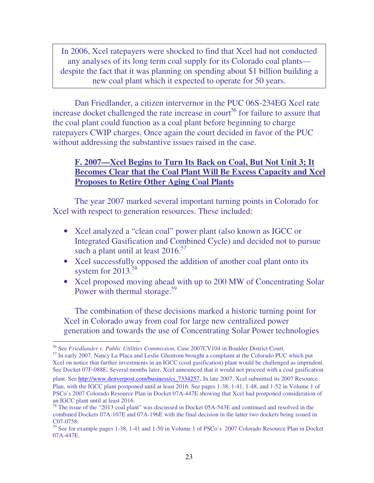In 2006, Xcel ratepayers were shocked to find that Xcel had not conducted any analyses of its long term coal supply for its Colorado coal plants despite the fact that it was planning on spending about \$1 billion building a new coal plant which it expected to operate for 50 years.

 Dan Friedlander, a citizen intervernor in the PUC 06S-234EG Xcel rate increase docket challenged the rate increase in court<sup>56</sup> for failure to assure that the coal plant could function as a coal plant before beginning to charge ratepayers CWIP charges. Once again the court decided in favor of the PUC without addressing the substantive issues raised in the case.

#### **F. 2007—Xcel Begins to Turn Its Back on Coal, But Not Unit 3; It Becomes Clear that the Coal Plant Will Be Excess Capacity and Xcel Proposes to Retire Other Aging Coal Plants**

 The year 2007 marked several important turning points in Colorado for Xcel with respect to generation resources. These included:

- Xcel analyzed a "clean coal" power plant (also known as IGCC or Integrated Gasification and Combined Cycle) and decided not to pursue such a plant until at least  $2016$ .<sup>57</sup>
- Xcel successfully opposed the addition of another coal plant onto its system for  $2013.^{58}$
- Xcel proposed moving ahead with up to 200 MW of Concentrating Solar Power with thermal storage.<sup>59</sup>

 The combination of these decisions marked a historic turning point for Xcel in Colorado away from coal for large new centralized power generation and towards the use of Concentrating Solar Power technologies

<sup>56</sup> See *Friedlander v. Public Utilities Commission,* Case 2007CV104 in Boulder District Court.

<sup>&</sup>lt;sup>57</sup> In early 2007, Nancy La Placa and Leslie Glustrom brought a complaint at the Colorado PUC which put Xcel on notice that further investments in an IGCC (coal gasification) plant would be challenged as imprudent. See Docket 07F-088E. Several months later, Xcel announced that it would not proceed with a coal gasification

plant. See http://www.denverpost.com/business/ci\_7334257. In late 2007, Xcel submitted its 2007 Resource Plan, with the IGCC plant postponed until at least 2016. See pages 1-38, 1-41, 1-48, and 1-52 in Volume 1 of PSCo's 2007 Colorado Resource Plan in Docket 07A-447E showing that Xcel had postponed consideration of an IGCC plant until at least 2016.

<sup>&</sup>lt;sup>58</sup> The issue of the "2013 coal plant" was discussed in Docket 05A-543E and continued and resolved in the combined Dockets 07A-107E and 07A-196E with the final decision in the latter two dockets being issued in C07-0758.

<sup>59</sup> See for example pages 1-38, 1-41 and 1-50 in Volume 1 of PSCo's 2007 Colorado Resource Plan in Docket 07A-447E.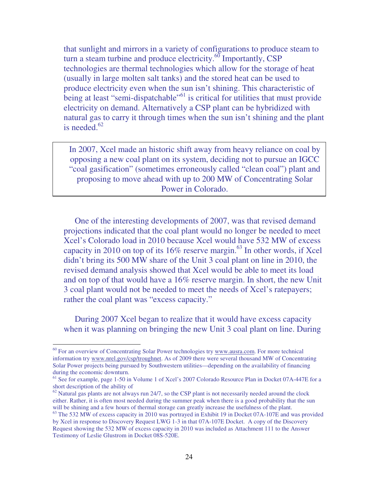that sunlight and mirrors in a variety of configurations to produce steam to turn a steam turbine and produce electricity. $^{60}$  Importantly, CSP technologies are thermal technologies which allow for the storage of heat (usually in large molten salt tanks) and the stored heat can be used to produce electricity even when the sun isn't shining. This characteristic of being at least "semi-dispatchable"<sup>61</sup> is critical for utilities that must provide electricity on demand. Alternatively a CSP plant can be hybridized with natural gas to carry it through times when the sun isn't shining and the plant is needed. $62$ 

In 2007, Xcel made an historic shift away from heavy reliance on coal by opposing a new coal plant on its system, deciding not to pursue an IGCC "coal gasification" (sometimes erroneously called "clean coal") plant and proposing to move ahead with up to 200 MW of Concentrating Solar Power in Colorado.

 One of the interesting developments of 2007, was that revised demand projections indicated that the coal plant would no longer be needed to meet Xcel's Colorado load in 2010 because Xcel would have 532 MW of excess capacity in 2010 on top of its  $16\%$  reserve margin.<sup>63</sup> In other words, if Xcel didn't bring its 500 MW share of the Unit 3 coal plant on line in 2010, the revised demand analysis showed that Xcel would be able to meet its load and on top of that would have a 16% reserve margin. In short, the new Unit 3 coal plant would not be needed to meet the needs of Xcel's ratepayers; rather the coal plant was "excess capacity."

 During 2007 Xcel began to realize that it would have excess capacity when it was planning on bringing the new Unit 3 coal plant on line. During

<sup>&</sup>lt;sup>60</sup> For an overview of Concentrating Solar Power technologies try www.ausra.com. For more technical information try www.nrel.gov/csp/troughnet. As of 2009 there were several thousand MW of Concentrating Solar Power projects being pursued by Southwestern utilities—depending on the availability of financing during the economic downturn.

<sup>&</sup>lt;sup>61</sup> See for example, page 1-50 in Volume 1 of Xcel's 2007 Colorado Resource Plan in Docket 07A-447E for a short description of the ability of

 $62$  Natural gas plants are not always run 24/7, so the CSP plant is not necessarily needed around the clock either. Rather, it is often most needed during the summer peak when there is a good probability that the sun will be shining and a few hours of thermal storage can greatly increase the usefulness of the plant.

<sup>&</sup>lt;sup>63</sup> The 532 MW of excess capacity in 2010 was portrayed in Exhibit 19 in Docket 07A-107E and was provided by Xcel in response to Discovery Request LWG 1-3 in that 07A-107E Docket. A copy of the Discovery Request showing the 532 MW of excess capacity in 2010 was included as Attachment 111 to the Answer Testimony of Leslie Glustrom in Docket 08S-520E.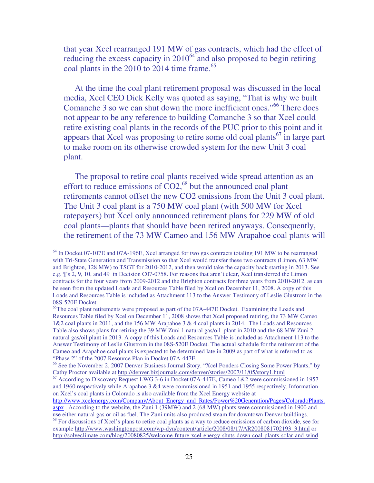that year Xcel rearranged 191 MW of gas contracts, which had the effect of reducing the excess capacity in  $2010^{64}$  and also proposed to begin retiring coal plants in the  $2010$  to  $2014$  time frame.<sup>65</sup>

 At the time the coal plant retirement proposal was discussed in the local media, Xcel CEO Dick Kelly was quoted as saying, "That is why we built Comanche 3 so we can shut down the more inefficient ones."<sup>66</sup> There does not appear to be any reference to building Comanche 3 so that Xcel could retire existing coal plants in the records of the PUC prior to this point and it appears that Xcel was proposing to retire some old coal plants<sup>67</sup> in large part to make room on its otherwise crowded system for the new Unit 3 coal plant.

 The proposal to retire coal plants received wide spread attention as an effort to reduce emissions of  $CO2<sup>68</sup>$  but the announced coal plant retirements cannot offset the new CO2 emissions from the Unit 3 coal plant. The Unit 3 coal plant is a 750 MW coal plant (with 500 MW for Xcel ratepayers) but Xcel only announced retirement plans for 229 MW of old coal plants—plants that should have been retired anyways. Consequently, the retirement of the 73 MW Cameo and 156 MW Arapahoe coal plants will

<sup>&</sup>lt;sup>64</sup> In Docket 07-107E and 07A-196E, Xcel arranged for two gas contracts totaling 191 MW to be rearranged with Tri-State Generation and Transmission so that Xcel would transfer these two contracts (Limon, 63 MW and Brighton, 128 MW) to TSGT for 2010-2012, and then would take the capacity back starting in 2013. See e.g. ¶'s 2, 9, 10, and 49 in Decision C07-0758. For reasons that aren't clear, Xcel transferred the Limon contracts for the four years from 2009-2012 and the Brighton contracts for three years from 2010-2012, as can be seen from the updated Loads and Resources Table filed by Xcel on December 11, 2008. A copy of this Loads and Resources Table is included as Attachment 113 to the Answer Testimony of Leslie Glustrom in the 08S-520E Docket.

<sup>&</sup>lt;sup>65</sup>The coal plant retirements were proposed as part of the 07A-447E Docket. Examining the Loads and Resources Table filed by Xcel on December 11, 2008 shows that Xcel proposed retiring, the 73 MW Cameo 1&2 coal plants in 2011, and the 156 MW Arapahoe 3 & 4 coal plants in 2014. The Loads and Resources Table also shows plans for retiring the 39 MW Zuni 1 natural gas/oil plant in 2010 and the 68 MW Zuni 2 natural gas/oil plant in 2013. A copy of this Loads and Resources Table is included as Attachment 113 to the Answer Testimony of Leslie Glustrom in the 08S-520E Docket. The actual schedule for the retirement of the Cameo and Arapahoe coal plants is expected to be determined late in 2009 as part of what is referred to as "Phase 2" of the 2007 Resource Plan in Docket 07A-447E.

<sup>66</sup> See the November 2, 2007 Denver Business Journal Story, "Xcel Ponders Closing Some Power Plants," by Cathy Proctor available at http://denver.bizjournals.com/denver/stories/2007/11/05/story1.html

<sup>&</sup>lt;sup>67</sup> According to Discovery Request LWG 3-6 in Docket 07A-447E, Cameo 1&2 were commissioned in 1957 and 1960 respectively while Arapahoe 3 &4 were commissioned in 1951 and 1955 respectively. Information on Xcel's coal plants in Colorado is also available from the Xcel Energy website at

http://www.xcelenergy.com/Company/About\_Energy\_and\_Rates/Power%20Generation/Pages/ColoradoPlants. aspx . According to the website, the Zuni 1 (39MW) and 2 (68 MW) plants were commissioned in 1900 and use either natural gas or oil as fuel. The Zuni units also produced steam for downtown Denver buildings.

<sup>&</sup>lt;sup>68</sup> For discussions of Xcel's plans to retire coal plants as a way to reduce emissions of carbon dioxide, see for example http://www.washingtonpost.com/wp-dyn/content/article/2008/08/17/AR2008081702193\_3.html or http://solveclimate.com/blog/20080825/welcome-future-xcel-energy-shuts-down-coal-plants-solar-and-wind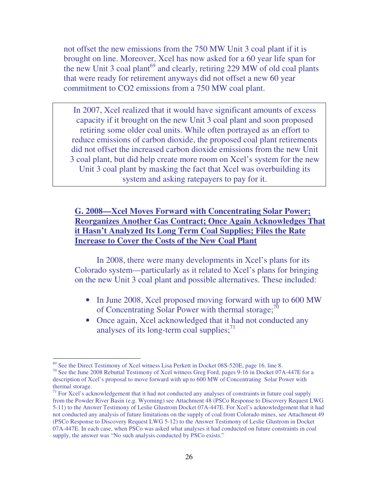not offset the new emissions from the 750 MW Unit 3 coal plant if it is brought on line. Moreover, Xcel has now asked for a 60 year life span for the new Unit 3 coal plant<sup>69</sup> and clearly, retiring 229 MW of old coal plants that were ready for retirement anyways did not offset a new 60 year commitment to CO2 emissions from a 750 MW coal plant.

In 2007, Xcel realized that it would have significant amounts of excess capacity if it brought on the new Unit 3 coal plant and soon proposed retiring some older coal units. While often portrayed as an effort to reduce emissions of carbon dioxide, the proposed coal plant retirements did not offset the increased carbon dioxide emissions from the new Unit 3 coal plant, but did help create more room on Xcel's system for the new Unit 3 coal plant by masking the fact that Xcel was overbuilding its system and asking ratepayers to pay for it.

#### **G. 2008—Xcel Moves Forward with Concentrating Solar Power; Reorganizes Another Gas Contract; Once Again Acknowledges That it Hasn't Analyzed Its Long Term Coal Supplies; Files the Rate Increase to Cover the Costs of the New Coal Plant**

 In 2008, there were many developments in Xcel's plans for its Colorado system—particularly as it related to Xcel's plans for bringing on the new Unit 3 coal plant and possible alternatives. These included:

- In June 2008, Xcel proposed moving forward with up to 600 MW of Concentrating Solar Power with thermal storage;<sup>70</sup>
- Once again, Xcel acknowledged that it had not conducted any analyses of its long-term coal supplies; $^{71}$

 $\overline{a}$ <sup>69</sup> See the Direct Testimony of Xcel witness Lisa Perkett in Docket 08S-520E, page 16. line 8.

<sup>&</sup>lt;sup>70</sup> See the June 2008 Rebuttal Testimony of Xcel witness Greg Ford, pages 9-16 in Docket 07A-447E for a description of Xcel's proposal to move forward with up to 600 MW of Concentrating Solar Power with thermal storage.

 $71$  For Xcel's acknowledgement that it had not conducted any analyses of constraints in future coal supply from the Powder River Basin (e.g. Wyoming) see Attachment 48 (PSCo Response to Discovery Request LWG 5-11) to the Answer Testimony of Leslie Glustrom Docket 07A-447E. For Xcel's acknowledgement that it had not conducted any analysis of future limitations on the supply of coal from Colorado mines, see Attachment 49 (PSCo Response to Discovery Request LWG 5-12) to the Answer Testimony of Leslie Glustrom in Docket 07A-447E. In each case, when PSCo was asked what analyses it had conducted on future constraints in coal supply, the answer was "No such analysis conducted by PSCo exists."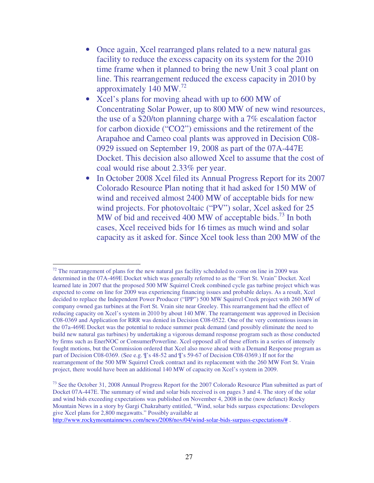- Once again, Xcel rearranged plans related to a new natural gas facility to reduce the excess capacity on its system for the 2010 time frame when it planned to bring the new Unit 3 coal plant on line. This rearrangement reduced the excess capacity in 2010 by approximately 140 MW.<sup>72</sup>
- Xcel's plans for moving ahead with up to 600 MW of Concentrating Solar Power, up to 800 MW of new wind resources, the use of a \$20/ton planning charge with a 7% escalation factor for carbon dioxide ("CO2") emissions and the retirement of the Arapahoe and Cameo coal plants was approved in Decision C08- 0929 issued on September 19, 2008 as part of the 07A-447E Docket. This decision also allowed Xcel to assume that the cost of coal would rise about 2.33% per year.
- In October 2008 Xcel filed its Annual Progress Report for its 2007 Colorado Resource Plan noting that it had asked for 150 MW of wind and received almost 2400 MW of acceptable bids for new wind projects. For photovoltaic ("PV") solar, Xcel asked for 25 MW of bid and received 400 MW of acceptable bids.<sup>73</sup> In both cases, Xcel received bids for 16 times as much wind and solar capacity as it asked for. Since Xcel took less than 200 MW of the

 $72$  The rearrangement of plans for the new natural gas facility scheduled to come on line in 2009 was determined in the 07A-469E Docket which was generally referred to as the "Fort St. Vrain" Docket. Xcel learned late in 2007 that the proposed 500 MW Squirrel Creek combined cycle gas turbine project which was expected to come on line for 2009 was experiencing financing issues and probable delays. As a result, Xcel decided to replace the Independent Power Producer ("IPP") 500 MW Squirrel Creek project with 260 MW of company owned gas turbines at the Fort St. Vrain site near Greeley. This rearrangement had the effect of reducing capacity on Xcel's system in 2010 by about 140 MW. The rearrangement was approved in Decision C08-0369 and Application for RRR was denied in Decision C08-0522. One of the very contentious issues in the 07a-469E Docket was the potential to reduce summer peak demand (and possibly eliminate the need to build new natural gas turbines) by undertaking a vigorous demand response program such as those conducted by firms such as EnerNOC or ConsumerPowerline. Xcel opposed all of these efforts in a series of intensely fought motions, but the Commission ordered that Xcel also move ahead with a Demand Response program as part of Decision C08-0369. (See e.g. ¶'s 48-52 and ¶'s 59-67 of Decision C08-0369.) If not for the rearrangement of the 500 MW Squirrel Creek contract and its replacement with the 260 MW Fort St. Vrain project, there would have been an additional 140 MW of capacity on Xcel's system in 2009.

<sup>&</sup>lt;sup>73</sup> See the October 31, 2008 Annual Progress Report for the 2007 Colorado Resource Plan submitted as part of Docket 07A-447E. The summary of wind and solar bids received is on pages 3 and 4. The story of the solar and wind bids exceeding expectations was published on November 4, 2008 in the (now defunct) Rocky Mountain News in a story by Gargi Chakrabarty entitled, "Wind, solar bids surpass expectations: Developers give Xcel plans for 2,800 megawatts." Possibly available at

http://www.rockymountainnews.com/news/2008/nov/04/wind-solar-bids-surpass-expectations/# .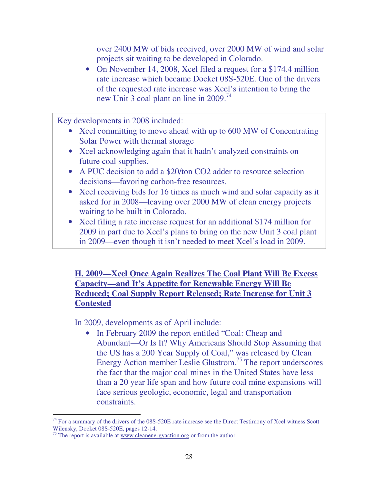over 2400 MW of bids received, over 2000 MW of wind and solar projects sit waiting to be developed in Colorado.

• On November 14, 2008, Xcel filed a request for a \$174.4 million rate increase which became Docket 08S-520E. One of the drivers of the requested rate increase was Xcel's intention to bring the new Unit 3 coal plant on line in 2009.<sup>74</sup>

Key developments in 2008 included:

- Xcel committing to move ahead with up to 600 MW of Concentrating Solar Power with thermal storage
- Xcel acknowledging again that it hadn't analyzed constraints on future coal supplies.
- A PUC decision to add a \$20/ton CO2 adder to resource selection decisions—favoring carbon-free resources.
- Xcel receiving bids for 16 times as much wind and solar capacity as it asked for in 2008—leaving over 2000 MW of clean energy projects waiting to be built in Colorado.
- Xcel filing a rate increase request for an additional \$174 million for 2009 in part due to Xcel's plans to bring on the new Unit 3 coal plant in 2009—even though it isn't needed to meet Xcel's load in 2009.

**H. 2009—Xcel Once Again Realizes The Coal Plant Will Be Excess Capacity—and It's Appetite for Renewable Energy Will Be Reduced; Coal Supply Report Released; Rate Increase for Unit 3 Contested**

In 2009, developments as of April include:

• In February 2009 the report entitled "Coal: Cheap and Abundant—Or Is It? Why Americans Should Stop Assuming that the US has a 200 Year Supply of Coal," was released by Clean Energy Action member Leslie Glustrom.<sup>75</sup> The report underscores the fact that the major coal mines in the United States have less than a 20 year life span and how future coal mine expansions will face serious geologic, economic, legal and transportation constraints.

 $\overline{a}$  $74$  For a summary of the drivers of the 08S-520E rate increase see the Direct Testimony of Xcel witness Scott Wilensky, Docket 08S-520E, pages 12-14.

 $75$  The report is available at www.cleanenergy action.org or from the author.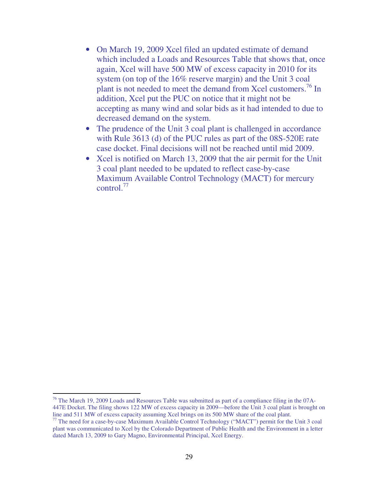- On March 19, 2009 Xcel filed an updated estimate of demand which included a Loads and Resources Table that shows that, once again, Xcel will have 500 MW of excess capacity in 2010 for its system (on top of the 16% reserve margin) and the Unit 3 coal plant is not needed to meet the demand from Xcel customers.<sup>76</sup> In addition, Xcel put the PUC on notice that it might not be accepting as many wind and solar bids as it had intended to due to decreased demand on the system.
- The prudence of the Unit 3 coal plant is challenged in accordance with Rule 3613 (d) of the PUC rules as part of the 08S-520E rate case docket. Final decisions will not be reached until mid 2009.
- Xcel is notified on March 13, 2009 that the air permit for the Unit 3 coal plant needed to be updated to reflect case-by-case Maximum Available Control Technology (MACT) for mercury control. $77$

 $76$  The March 19, 2009 Loads and Resources Table was submitted as part of a compliance filing in the 07A-447E Docket. The filing shows 122 MW of excess capacity in 2009—before the Unit 3 coal plant is brought on line and 511 MW of excess capacity assuming Xcel brings on its 500 MW share of the coal plant.

<sup>77</sup> The need for a case-by-case Maximum Available Control Technology ("MACT") permit for the Unit 3 coal plant was communicated to Xcel by the Colorado Department of Public Health and the Environment in a letter dated March 13, 2009 to Gary Magno, Environmental Principal, Xcel Energy.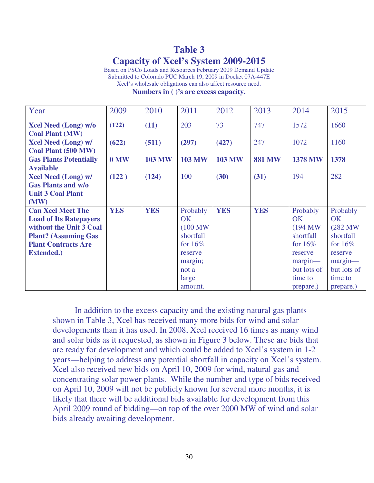### **Table 3 Capacity of Xcel's System 2009-2015**

Based on PSCo Loads and Resources February 2009 Demand Update Submitted to Colorado PUC March 19, 2009 in Docket 07A-447E Xcel's wholesale obligations can also affect resource need.

**Numbers in ( )'s are excess capacity.** 

| Year                          | 2009       | 2010          | 2011          | 2012          | 2013          | 2014           | 2015        |
|-------------------------------|------------|---------------|---------------|---------------|---------------|----------------|-------------|
| <b>Xcel Need (Long) w/o</b>   | (122)      | (11)          | 203           | 73            | 747           | 1572           | 1660        |
| <b>Coal Plant (MW)</b>        |            |               |               |               |               |                |             |
| <b>Xcel Need (Long) w/</b>    | (622)      | (511)         | (297)         | (427)         | 247           | 1072           | 1160        |
| Coal Plant (500 MW)           |            |               |               |               |               |                |             |
| <b>Gas Plants Potentially</b> | $0$ MW     | <b>103 MW</b> | <b>103 MW</b> | <b>103 MW</b> | <b>881 MW</b> | <b>1378 MW</b> | 1378        |
| <b>Available</b>              |            |               |               |               |               |                |             |
| <b>Xcel Need (Long) w/</b>    | (122)      | (124)         | 100           | (30)          | (31)          | 194            | 282         |
| <b>Gas Plants and w/o</b>     |            |               |               |               |               |                |             |
| <b>Unit 3 Coal Plant</b>      |            |               |               |               |               |                |             |
| (MW)                          |            |               |               |               |               |                |             |
| <b>Can Xcel Meet The</b>      | <b>YES</b> | <b>YES</b>    | Probably      | <b>YES</b>    | <b>YES</b>    | Probably       | Probably    |
| <b>Load of Its Ratepayers</b> |            |               | <b>OK</b>     |               |               | <b>OK</b>      | OK          |
| without the Unit 3 Coal       |            |               | (100 MW)      |               |               | (194 MW)       | (282 MW)    |
| <b>Plant? (Assuming Gas)</b>  |            |               | shortfall     |               |               | shortfall      | shortfall   |
| <b>Plant Contracts Are</b>    |            |               | for $16\%$    |               |               | for $16\%$     | for $16\%$  |
| <b>Extended.)</b>             |            |               | reserve       |               |               | reserve        | reserve     |
|                               |            |               | margin;       |               |               | $margin$ —     | $margin$ —  |
|                               |            |               | not a         |               |               | but lots of    | but lots of |
|                               |            |               | large         |               |               | time to        | time to     |
|                               |            |               | amount.       |               |               | prepare.)      | prepare.)   |

 In addition to the excess capacity and the existing natural gas plants shown in Table 3, Xcel has received many more bids for wind and solar developments than it has used. In 2008, Xcel received 16 times as many wind and solar bids as it requested, as shown in Figure 3 below. These are bids that are ready for development and which could be added to Xcel's system in 1-2 years—helping to address any potential shortfall in capacity on Xcel's system. Xcel also received new bids on April 10, 2009 for wind, natural gas and concentrating solar power plants. While the number and type of bids received on April 10, 2009 will not be publicly known for several more months, it is likely that there will be additional bids available for development from this April 2009 round of bidding—on top of the over 2000 MW of wind and solar bids already awaiting development.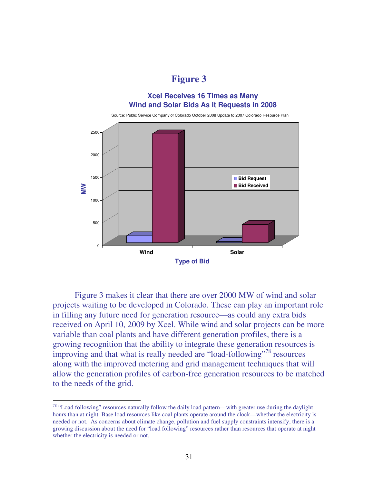**Figure 3** 

#### **Xcel Receives 16 Times as Many Wind and Solar Bids As it Requests in 2008**



 Figure 3 makes it clear that there are over 2000 MW of wind and solar projects waiting to be developed in Colorado. These can play an important role in filling any future need for generation resource—as could any extra bids received on April 10, 2009 by Xcel. While wind and solar projects can be more variable than coal plants and have different generation profiles, there is a growing recognition that the ability to integrate these generation resources is improving and that what is really needed are "load-following"<sup>78</sup> resources along with the improved metering and grid management techniques that will allow the generation profiles of carbon-free generation resources to be matched to the needs of the grid.

 $78$  "Load following" resources naturally follow the daily load pattern—with greater use during the daylight hours than at night. Base load resources like coal plants operate around the clock—whether the electricity is needed or not. As concerns about climate change, pollution and fuel supply constraints intensify, there is a growing discussion about the need for "load following" resources rather than resources that operate at night whether the electricity is needed or not.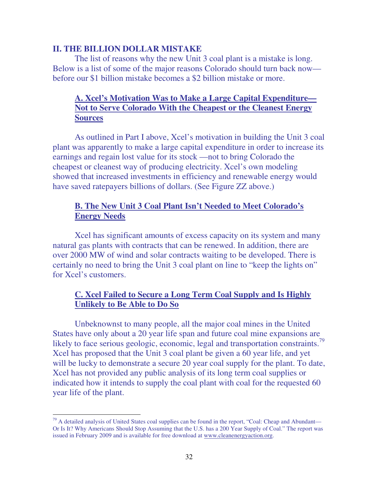#### **II. THE BILLION DOLLAR MISTAKE**

The list of reasons why the new Unit 3 coal plant is a mistake is long. Below is a list of some of the major reasons Colorado should turn back now before our \$1 billion mistake becomes a \$2 billion mistake or more.

#### **A. Xcel's Motivation Was to Make a Large Capital Expenditure— Not to Serve Colorado With the Cheapest or the Cleanest Energy Sources**

 As outlined in Part I above, Xcel's motivation in building the Unit 3 coal plant was apparently to make a large capital expenditure in order to increase its earnings and regain lost value for its stock —not to bring Colorado the cheapest or cleanest way of producing electricity. Xcel's own modeling showed that increased investments in efficiency and renewable energy would have saved ratepayers billions of dollars. (See Figure ZZ above.)

#### **B. The New Unit 3 Coal Plant Isn't Needed to Meet Colorado's Energy Needs**

Xcel has significant amounts of excess capacity on its system and many natural gas plants with contracts that can be renewed. In addition, there are over 2000 MW of wind and solar contracts waiting to be developed. There is certainly no need to bring the Unit 3 coal plant on line to "keep the lights on" for Xcel's customers.

#### **C. Xcel Failed to Secure a Long Term Coal Supply and Is Highly Unlikely to Be Able to Do So**

Unbeknownst to many people, all the major coal mines in the United States have only about a 20 year life span and future coal mine expansions are likely to face serious geologic, economic, legal and transportation constraints.<sup>79</sup> Xcel has proposed that the Unit 3 coal plant be given a 60 year life, and yet will be lucky to demonstrate a secure 20 year coal supply for the plant. To date, Xcel has not provided any public analysis of its long term coal supplies or indicated how it intends to supply the coal plant with coal for the requested 60 year life of the plant.

 $79$  A detailed analysis of United States coal supplies can be found in the report, "Coal: Cheap and Abundant— Or Is It? Why Americans Should Stop Assuming that the U.S. has a 200 Year Supply of Coal." The report was issued in February 2009 and is available for free download at www.cleanenergyaction.org.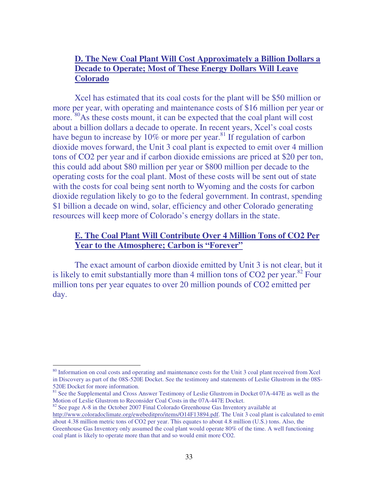#### **D. The New Coal Plant Will Cost Approximately a Billion Dollars a Decade to Operate; Most of These Energy Dollars Will Leave Colorado**

Xcel has estimated that its coal costs for the plant will be \$50 million or more per year, with operating and maintenance costs of \$16 million per year or more. <sup>80</sup>As these costs mount, it can be expected that the coal plant will cost about a billion dollars a decade to operate. In recent years, Xcel's coal costs have begun to increase by  $10\%$  or more per year.<sup>81</sup> If regulation of carbon dioxide moves forward, the Unit 3 coal plant is expected to emit over 4 million tons of CO2 per year and if carbon dioxide emissions are priced at \$20 per ton, this could add about \$80 million per year or \$800 million per decade to the operating costs for the coal plant. Most of these costs will be sent out of state with the costs for coal being sent north to Wyoming and the costs for carbon dioxide regulation likely to go to the federal government. In contrast, spending \$1 billion a decade on wind, solar, efficiency and other Colorado generating resources will keep more of Colorado's energy dollars in the state.

#### **E. The Coal Plant Will Contribute Over 4 Million Tons of CO2 Per Year to the Atmosphere; Carbon is "Forever"**

The exact amount of carbon dioxide emitted by Unit 3 is not clear, but it is likely to emit substantially more than 4 million tons of  $CO2$  per year.<sup>82</sup> Four million tons per year equates to over 20 million pounds of CO2 emitted per day.

<sup>&</sup>lt;sup>80</sup> Information on coal costs and operating and maintenance costs for the Unit 3 coal plant received from Xcel in Discovery as part of the 08S-520E Docket. See the testimony and statements of Leslie Glustrom in the 08S-520E Docket for more information.

<sup>&</sup>lt;sup>81</sup> See the Supplemental and Cross Answer Testimony of Leslie Glustrom in Docket 07A-447E as well as the Motion of Leslie Glustrom to Reconsider Coal Costs in the 07A-447E Docket.

<sup>&</sup>lt;sup>82</sup> See page A-8 in the October 2007 Final Colorado Greenhouse Gas Inventory available at http://www.coloradoclimate.org/ewebeditpro/items/O14F13894.pdf. The Unit 3 coal plant is calculated to emit about 4.38 million metric tons of CO2 per year. This equates to about 4.8 million (U.S.) tons. Also, the Greenhouse Gas Inventory only assumed the coal plant would operate 80% of the time. A well functioning coal plant is likely to operate more than that and so would emit more CO2.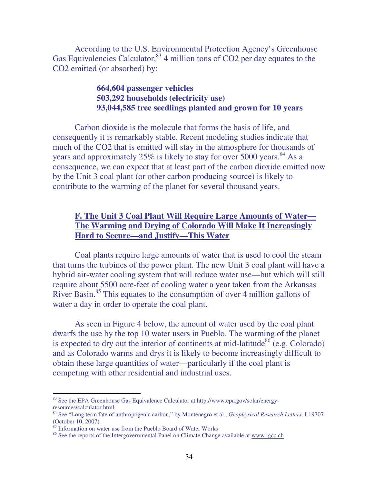According to the U.S. Environmental Protection Agency's Greenhouse Gas Equivalencies Calculator,  $83/4$  million tons of CO2 per day equates to the CO2 emitted (or absorbed) by:

#### **664,604 passenger vehicles 503,292 households (electricity use) 93,044,585 tree seedlings planted and grown for 10 years**

Carbon dioxide is the molecule that forms the basis of life, and consequently it is remarkably stable. Recent modeling studies indicate that much of the CO2 that is emitted will stay in the atmosphere for thousands of years and approximately  $25\%$  is likely to stay for over 5000 years.<sup>84</sup> As a consequence, we can expect that at least part of the carbon dioxide emitted now by the Unit 3 coal plant (or other carbon producing source) is likely to contribute to the warming of the planet for several thousand years.

#### **F. The Unit 3 Coal Plant Will Require Large Amounts of Water— The Warming and Drying of Colorado Will Make It Increasingly Hard to Secure—and Justify—This Water**

Coal plants require large amounts of water that is used to cool the steam that turns the turbines of the power plant. The new Unit 3 coal plant will have a hybrid air-water cooling system that will reduce water use—but which will still require about 5500 acre-feet of cooling water a year taken from the Arkansas River Basin.<sup>85</sup> This equates to the consumption of over 4 million gallons of water a day in order to operate the coal plant.

As seen in Figure 4 below, the amount of water used by the coal plant dwarfs the use by the top 10 water users in Pueblo. The warming of the planet is expected to dry out the interior of continents at mid-latitude<sup>86</sup> (e.g. Colorado) and as Colorado warms and drys it is likely to become increasingly difficult to obtain these large quantities of water—particularly if the coal plant is competing with other residential and industrial uses.

<sup>83</sup> See the EPA Greenhouse Gas Equivalence Calculator at http://www.epa.gov/solar/energyresources/calculator.html

<sup>84</sup> See "Long term fate of anthropogenic carbon," by Montenegro et al., *Geophysical Research Letters,* L19707 (October 10, 2007).

 $85$  Information on water use from the Pueblo Board of Water Works

<sup>&</sup>lt;sup>86</sup> See the reports of the Intergovernmental Panel on Climate Change available at www.igcc.ch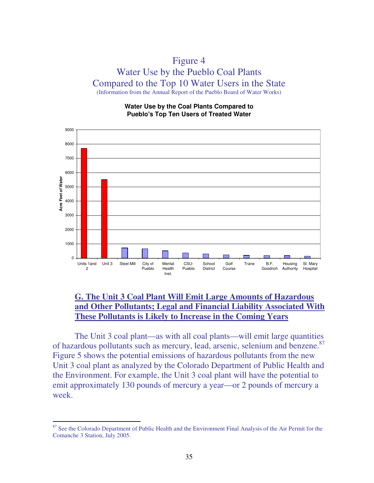#### Figure 4 Water Use by the Pueblo Coal Plants Compared to the Top 10 Water Users in the State (Information from the Annual Report of the Pueblo Board of Water Works)

**Water Use by the Coal Plants Compared to Pueblo's Top Ten Users of Treated Water**



#### **G. The Unit 3 Coal Plant Will Emit Large Amounts of Hazardous and Other Pollutants; Legal and Financial Liability Associated With These Pollutants is Likely to Increase in the Coming Years**

The Unit 3 coal plant—as with all coal plants—will emit large quantities of hazardous pollutants such as mercury, lead, arsenic, selenium and benzene.<sup>87</sup> Figure 5 shows the potential emissions of hazardous pollutants from the new Unit 3 coal plant as analyzed by the Colorado Department of Public Health and the Environment. For example, the Unit 3 coal plant will have the potential to emit approximately 130 pounds of mercury a year—or 2 pounds of mercury a week.

<sup>&</sup>lt;sup>87</sup> See the Colorado Department of Public Health and the Environment Final Analysis of the Air Permit for the Comanche 3 Station, July 2005.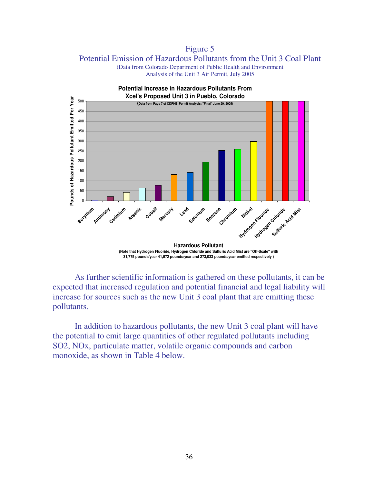Figure 5 Potential Emission of Hazardous Pollutants from the Unit 3 Coal Plant (Data from Colorado Department of Public Health and Environment

Analysis of the Unit 3 Air Permit, July 2005



**(Note that Hydrogen Fluoride, Hydrogen Chloride and Sulfuric Acid Mist are "Off-Scale" with 31,775 pounds/year 41,572 pounds/year and 273,033 pounds/year emitted respectively )** 

 As further scientific information is gathered on these pollutants, it can be expected that increased regulation and potential financial and legal liability will increase for sources such as the new Unit 3 coal plant that are emitting these pollutants.

 In addition to hazardous pollutants, the new Unit 3 coal plant will have the potential to emit large quantities of other regulated pollutants including SO2, NOx, particulate matter, volatile organic compounds and carbon monoxide, as shown in Table 4 below.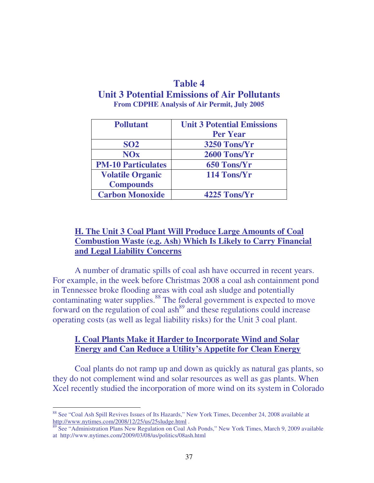#### **Table 4**

#### **Unit 3 Potential Emissions of Air Pollutants From CDPHE Analysis of Air Permit, July 2005**

| <b>Pollutant</b>          | <b>Unit 3 Potential Emissions</b><br><b>Per Year</b> |  |  |
|---------------------------|------------------------------------------------------|--|--|
| <b>SO2</b>                | 3250 Tons/Yr                                         |  |  |
| <b>NOx</b>                | 2600 Tons/Yr                                         |  |  |
| <b>PM-10 Particulates</b> | 650 Tons/Yr                                          |  |  |
| <b>Volatile Organic</b>   | 114 Tons/Yr                                          |  |  |
| <b>Compounds</b>          |                                                      |  |  |
| <b>Carbon Monoxide</b>    | 4225 Tons/Yr                                         |  |  |

#### **H. The Unit 3 Coal Plant Will Produce Large Amounts of Coal Combustion Waste (e.g. Ash) Which Is Likely to Carry Financial and Legal Liability Concerns**

A number of dramatic spills of coal ash have occurred in recent years. For example, in the week before Christmas 2008 a coal ash containment pond in Tennessee broke flooding areas with coal ash sludge and potentially contaminating water supplies.<sup>88</sup> The federal government is expected to move forward on the regulation of coal ash<sup>89</sup> and these regulations could increase operating costs (as well as legal liability risks) for the Unit 3 coal plant.

#### **I. Coal Plants Make it Harder to Incorporate Wind and Solar Energy and Can Reduce a Utility's Appetite for Clean Energy**

Coal plants do not ramp up and down as quickly as natural gas plants, so they do not complement wind and solar resources as well as gas plants. When Xcel recently studied the incorporation of more wind on its system in Colorado

<sup>88</sup> See "Coal Ash Spill Revives Issues of Its Hazards," New York Times, December 24, 2008 available at http://www.nytimes.com/2008/12/25/us/25sludge.html.

<sup>&</sup>lt;sup>89</sup> See "Administration Plans New Regulation on Coal Ash Ponds," New York Times, March 9, 2009 available at http://www.nytimes.com/2009/03/08/us/politics/08ash.html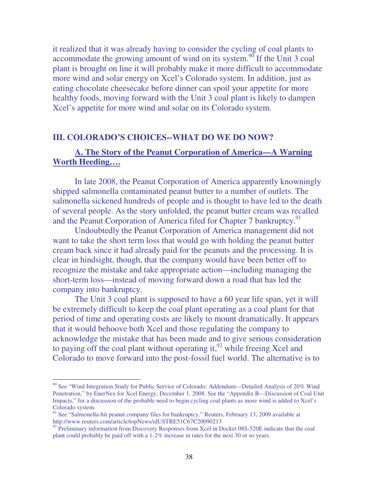it realized that it was already having to consider the cycling of coal plants to accommodate the growing amount of wind on its system.<sup>90</sup> If the Unit 3 coal plant is brought on line it will probably make it more difficult to accommodate more wind and solar energy on Xcel's Colorado system. In addition, just as eating chocolate cheesecake before dinner can spoil your appetite for more healthy foods, moving forward with the Unit 3 coal plant is likely to dampen Xcel's appetite for more wind and solar on its Colorado system.

#### **III. COLORADO'S CHOICES--WHAT DO WE DO NOW?**

#### **A. The Story of the Peanut Corporation of America—A Warning Worth Heeding….**

In late 2008, the Peanut Corporation of America apparently knowningly shipped salmonella contaminated peanut butter to a number of outlets. The salmonella sickened hundreds of people and is thought to have led to the death of several people. As the story unfolded, the peanut butter cream was recalled and the Peanut Corporation of America filed for Chapter 7 bankruptcy.<sup>91</sup>

Undoubtedly the Peanut Corporation of America management did not want to take the short term loss that would go with holding the peanut butter cream back since it had already paid for the peanuts and the processing. It is clear in hindsight, though, that the company would have been better off to recognize the mistake and take appropriate action—including managing the short-term loss—instead of moving forward down a road that has led the company into bankruptcy.

The Unit 3 coal plant is supposed to have a 60 year life span, yet it will be extremely difficult to keep the coal plant operating as a coal plant for that period of time and operating costs are likely to mount dramatically. It appears that it would behoove both Xcel and those regulating the company to acknowledge the mistake that has been made and to give serious consideration to paying off the coal plant without operating it, $92$  while freeing Xcel and Colorado to move forward into the post-fossil fuel world. The alternative is to

<sup>&</sup>lt;sup>90</sup> See "Wind Integration Study for Public Service of Colorado: Addendum—Detailed Analysis of 20% Wind Penetration," by EnerNex for Xcel Energy, December 1, 2008. See the "Appendix B—Discussion of Coal Unit Impacts," for a discussion of the probable need to begin cycling coal plants as more wind is added to Xcel's Colorado system.

<sup>&</sup>lt;sup>91</sup> See "Salmonella-hit peanut company files for bankruptcy," Reuters, February 13, 2009 available at http://www.reuters.com/article/topNews/idUSTRE51C67C20090213

<sup>&</sup>lt;sup>92</sup> Preliminary information from Discovery Responses from Xcel in Docket 08S-520E indicate that the coal plant could probably be paid off with a 1-2% increase in rates for the next 30 or so years.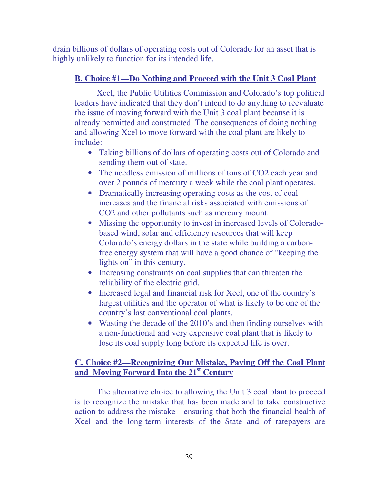drain billions of dollars of operating costs out of Colorado for an asset that is highly unlikely to function for its intended life.

#### **B. Choice #1—Do Nothing and Proceed with the Unit 3 Coal Plant**

 Xcel, the Public Utilities Commission and Colorado's top political leaders have indicated that they don't intend to do anything to reevaluate the issue of moving forward with the Unit 3 coal plant because it is already permitted and constructed. The consequences of doing nothing and allowing Xcel to move forward with the coal plant are likely to include:

- Taking billions of dollars of operating costs out of Colorado and sending them out of state.
- The needless emission of millions of tons of CO2 each year and over 2 pounds of mercury a week while the coal plant operates.
- Dramatically increasing operating costs as the cost of coal increases and the financial risks associated with emissions of CO2 and other pollutants such as mercury mount.
- Missing the opportunity to invest in increased levels of Coloradobased wind, solar and efficiency resources that will keep Colorado's energy dollars in the state while building a carbonfree energy system that will have a good chance of "keeping the lights on" in this century.
- Increasing constraints on coal supplies that can threaten the reliability of the electric grid.
- Increased legal and financial risk for Xcel, one of the country's largest utilities and the operator of what is likely to be one of the country's last conventional coal plants.
- Wasting the decade of the 2010's and then finding ourselves with a non-functional and very expensive coal plant that is likely to lose its coal supply long before its expected life is over.

#### **C. Choice #2—Recognizing Our Mistake, Paying Off the Coal Plant and Moving Forward Into the 21st Century**

 The alternative choice to allowing the Unit 3 coal plant to proceed is to recognize the mistake that has been made and to take constructive action to address the mistake—ensuring that both the financial health of Xcel and the long-term interests of the State and of ratepayers are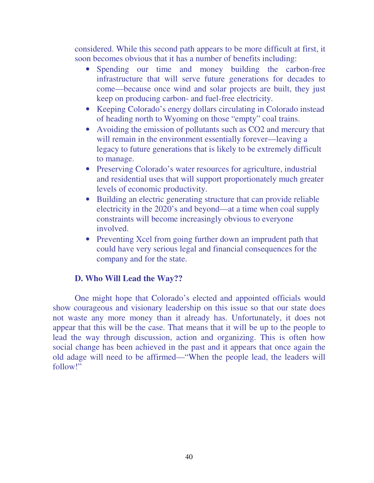considered. While this second path appears to be more difficult at first, it soon becomes obvious that it has a number of benefits including:

- Spending our time and money building the carbon-free infrastructure that will serve future generations for decades to come—because once wind and solar projects are built, they just keep on producing carbon- and fuel-free electricity.
- Keeping Colorado's energy dollars circulating in Colorado instead of heading north to Wyoming on those "empty" coal trains.
- Avoiding the emission of pollutants such as CO2 and mercury that will remain in the environment essentially forever—leaving a legacy to future generations that is likely to be extremely difficult to manage.
- Preserving Colorado's water resources for agriculture, industrial and residential uses that will support proportionately much greater levels of economic productivity.
- Building an electric generating structure that can provide reliable electricity in the 2020's and beyond—at a time when coal supply constraints will become increasingly obvious to everyone involved.
- Preventing Xcel from going further down an imprudent path that could have very serious legal and financial consequences for the company and for the state.

#### **D. Who Will Lead the Way??**

One might hope that Colorado's elected and appointed officials would show courageous and visionary leadership on this issue so that our state does not waste any more money than it already has. Unfortunately, it does not appear that this will be the case. That means that it will be up to the people to lead the way through discussion, action and organizing. This is often how social change has been achieved in the past and it appears that once again the old adage will need to be affirmed—"When the people lead, the leaders will follow!"